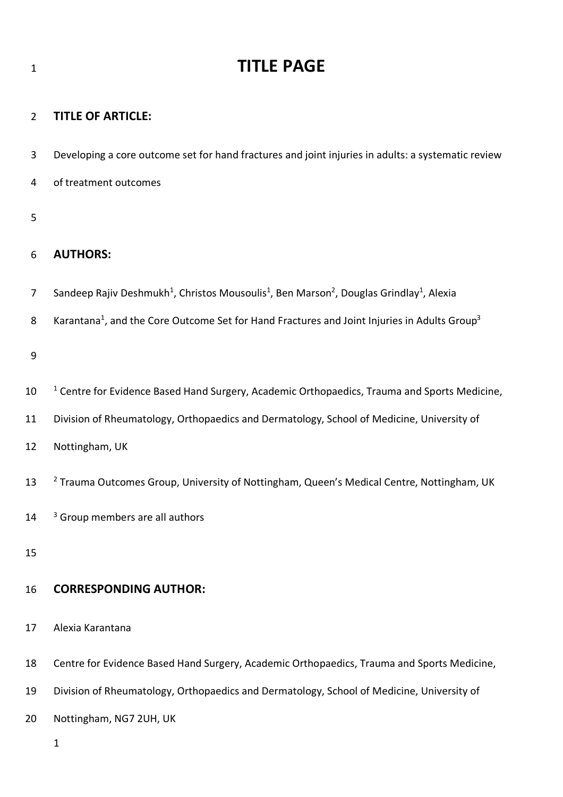### **TITLE OF ARTICLE:**

- Developing a core outcome set for hand fractures and joint injuries in adults: a systematic review
- of treatment outcomes

## 

## **AUTHORS:**

- 7 Sandeep Rajiv Deshmukh<sup>1</sup>, Christos Mousoulis<sup>1</sup>, Ben Marson<sup>2</sup>, Douglas Grindlay<sup>1</sup>, Alexia
- 8 Karantana<sup>1</sup>, and the Core Outcome Set for Hand Fractures and Joint Injuries in Adults Group<sup>3</sup>

- 10 <sup>1</sup> Centre for Evidence Based Hand Surgery, Academic Orthopaedics, Trauma and Sports Medicine,
- Division of Rheumatology, Orthopaedics and Dermatology, School of Medicine, University of
- Nottingham, UK
- <sup>2</sup> Trauma Outcomes Group, University of Nottingham, Queen's Medical Centre, Nottingham, UK
- $14<sup>3</sup>$  Group members are all authors
- 

## **CORRESPONDING AUTHOR:**

- Alexia Karantana
- Centre for Evidence Based Hand Surgery, Academic Orthopaedics, Trauma and Sports Medicine,
- Division of Rheumatology, Orthopaedics and Dermatology, School of Medicine, University of
- Nottingham, NG7 2UH, UK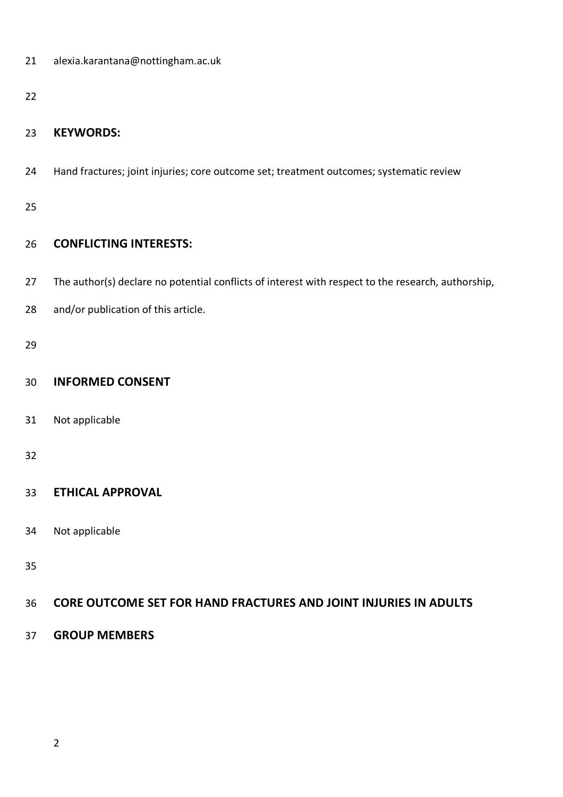| 21 | alexia.karantana@nottingham.ac.uk |
|----|-----------------------------------|
|----|-----------------------------------|

## **KEYWORDS:**

Hand fractures; joint injuries; core outcome set; treatment outcomes; systematic review

## **CONFLICTING INTERESTS:**

- 27 The author(s) declare no potential conflicts of interest with respect to the research, authorship,
- and/or publication of this article.

## **INFORMED CONSENT**

Not applicable

## **ETHICAL APPROVAL**

Not applicable

## **CORE OUTCOME SET FOR HAND FRACTURES AND JOINT INJURIES IN ADULTS**

**GROUP MEMBERS**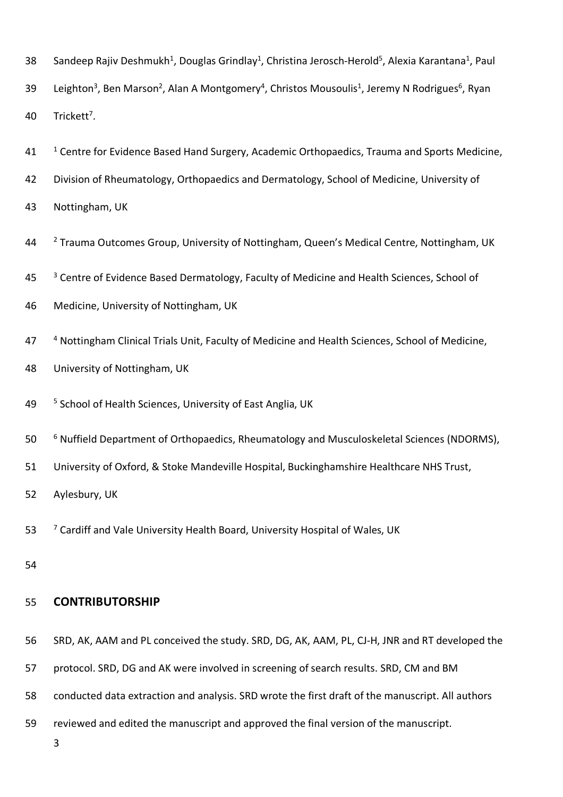|  | 38 Sandeep Rajiv Deshmukh <sup>1</sup> , Douglas Grindlay <sup>1</sup> , Christina Jerosch-Herold <sup>5</sup> , Alexia Karantana <sup>1</sup> , Paul |  |  |  |
|--|-------------------------------------------------------------------------------------------------------------------------------------------------------|--|--|--|
|--|-------------------------------------------------------------------------------------------------------------------------------------------------------|--|--|--|

- 39 Leighton<sup>3</sup>, Ben Marson<sup>2</sup>, Alan A Montgomery<sup>4</sup>, Christos Mousoulis<sup>1</sup>, Jeremy N Rodrigues<sup>6</sup>, Ryan 40 Trickett<sup>7</sup>.
- <sup>1</sup> Centre for Evidence Based Hand Surgery, Academic Orthopaedics, Trauma and Sports Medicine,
- 42 Division of Rheumatology, Orthopaedics and Dermatology, School of Medicine, University of
- 43 Nottingham, UK
- <sup>2</sup> Trauma Outcomes Group, University of Nottingham, Queen's Medical Centre, Nottingham, UK
- <sup>3</sup> Centre of Evidence Based Dermatology, Faculty of Medicine and Health Sciences, School of
- 46 Medicine, University of Nottingham, UK
- 47 4 Nottingham Clinical Trials Unit, Faculty of Medicine and Health Sciences, School of Medicine,
- 48 University of Nottingham, UK
- 49 <sup>5</sup> School of Health Sciences, University of East Anglia, UK
- <sup>6</sup> 50 Nuffield Department of Orthopaedics, Rheumatology and Musculoskeletal Sciences (NDORMS),
- 51 University of Oxford, & Stoke Mandeville Hospital, Buckinghamshire Healthcare NHS Trust,

52 Aylesbury, UK

- 53 <sup>7</sup> Cardiff and Vale University Health Board, University Hospital of Wales, UK
- 54

## 55 **CONTRIBUTORSHIP**

- 56 SRD, AK, AAM and PL conceived the study. SRD, DG, AK, AAM, PL, CJ-H, JNR and RT developed the
- 57 protocol. SRD, DG and AK were involved in screening of search results. SRD, CM and BM
- 58 conducted data extraction and analysis. SRD wrote the first draft of the manuscript. All authors
- 59 reviewed and edited the manuscript and approved the final version of the manuscript.
	- 3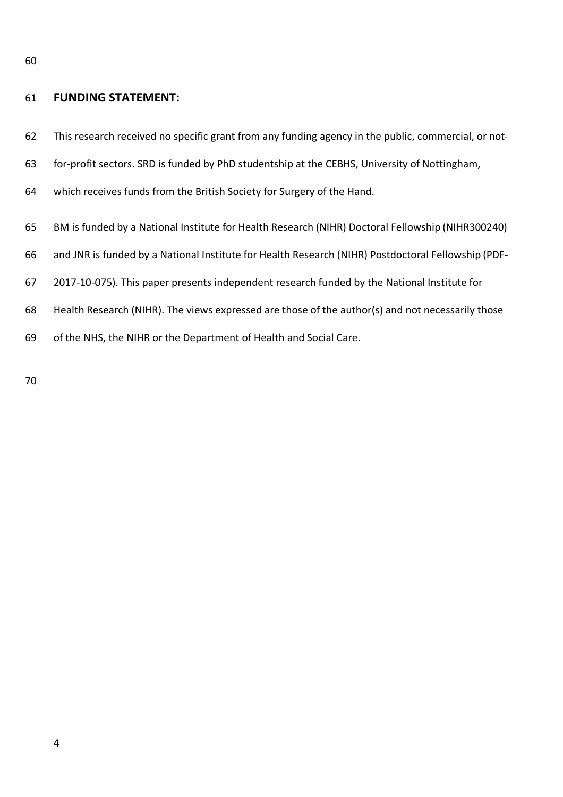### **FUNDING STATEMENT:**

- This research received no specific grant from any funding agency in the public, commercial, or not-
- for-profit sectors. SRD is funded by PhD studentship at the CEBHS, University of Nottingham,
- which receives funds from the British Society for Surgery of the Hand.
- BM is funded by a National Institute for Health Research (NIHR) Doctoral Fellowship (NIHR300240)
- and JNR is funded by a National Institute for Health Research (NIHR) Postdoctoral Fellowship (PDF-
- 2017-10-075). This paper presents independent research funded by the National Institute for
- Health Research (NIHR). The views expressed are those of the author(s) and not necessarily those
- of the NHS, the NIHR or the Department of Health and Social Care.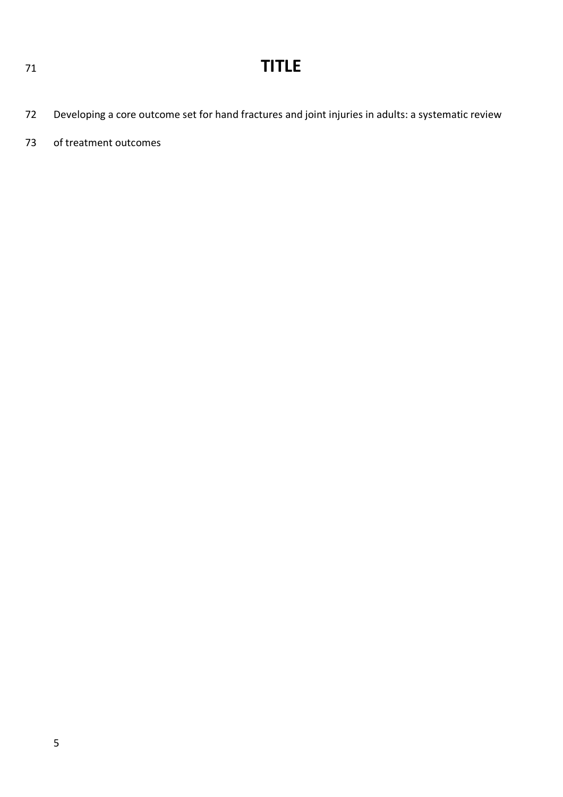- Developing a core outcome set for hand fractures and joint injuries in adults: a systematic review
- of treatment outcomes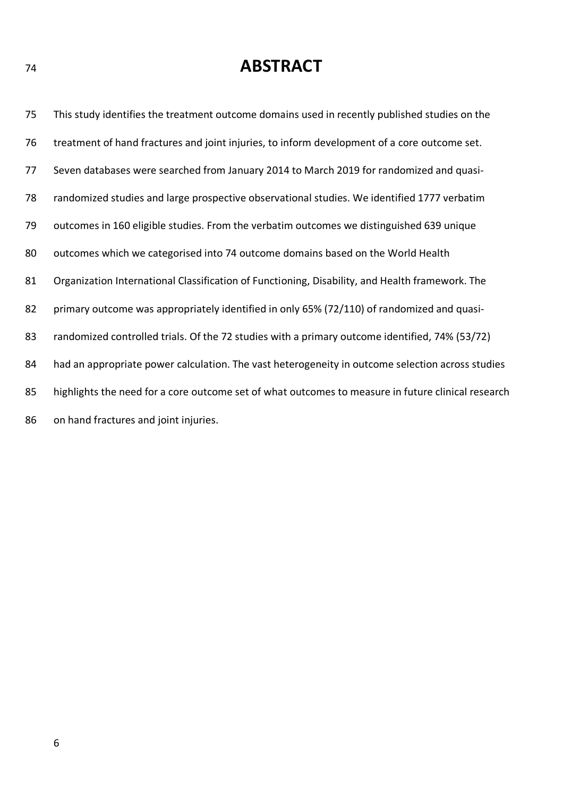## **ABSTRACT**

 This study identifies the treatment outcome domains used in recently published studies on the treatment of hand fractures and joint injuries, to inform development of a core outcome set. Seven databases were searched from January 2014 to March 2019 for randomized and quasi- randomized studies and large prospective observational studies. We identified 1777 verbatim outcomes in 160 eligible studies. From the verbatim outcomes we distinguished 639 unique outcomes which we categorised into 74 outcome domains based on the World Health Organization International Classification of Functioning, Disability, and Health framework. The 82 primary outcome was appropriately identified in only 65% (72/110) of randomized and quasi-83 randomized controlled trials. Of the 72 studies with a primary outcome identified, 74% (53/72) 84 had an appropriate power calculation. The vast heterogeneity in outcome selection across studies highlights the need for a core outcome set of what outcomes to measure in future clinical research on hand fractures and joint injuries.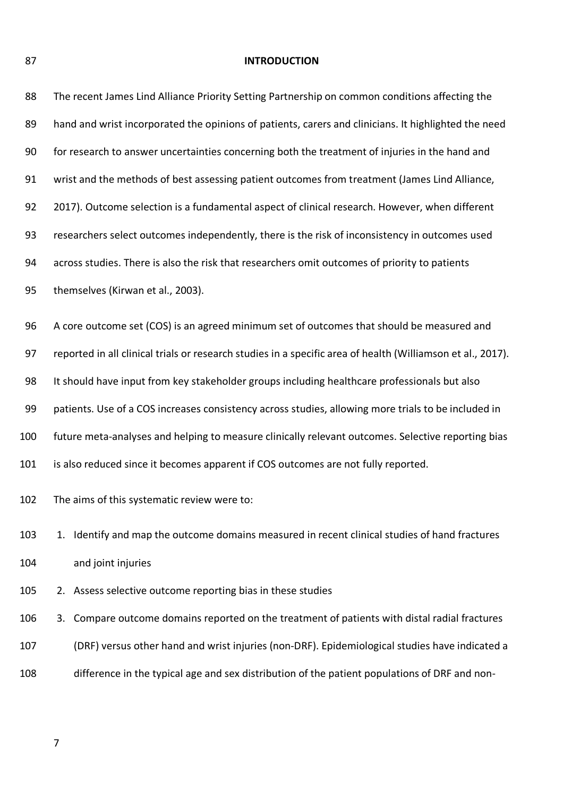**INTRODUCTION**

| 88  | The recent James Lind Alliance Priority Setting Partnership on common conditions affecting the              |
|-----|-------------------------------------------------------------------------------------------------------------|
| 89  | hand and wrist incorporated the opinions of patients, carers and clinicians. It highlighted the need        |
| 90  | for research to answer uncertainties concerning both the treatment of injuries in the hand and              |
| 91  | wrist and the methods of best assessing patient outcomes from treatment (James Lind Alliance,               |
| 92  | 2017). Outcome selection is a fundamental aspect of clinical research. However, when different              |
| 93  | researchers select outcomes independently, there is the risk of inconsistency in outcomes used              |
| 94  | across studies. There is also the risk that researchers omit outcomes of priority to patients               |
| 95  | themselves (Kirwan et al., 2003).                                                                           |
| 96  | A core outcome set (COS) is an agreed minimum set of outcomes that should be measured and                   |
| 97  | reported in all clinical trials or research studies in a specific area of health (Williamson et al., 2017). |
| 98  | It should have input from key stakeholder groups including healthcare professionals but also                |
| 99  | patients. Use of a COS increases consistency across studies, allowing more trials to be included in         |
| 100 | future meta-analyses and helping to measure clinically relevant outcomes. Selective reporting bias          |
| 101 | is also reduced since it becomes apparent if COS outcomes are not fully reported.                           |
| 102 | The aims of this systematic review were to:                                                                 |
| 103 | Identify and map the outcome domains measured in recent clinical studies of hand fractures<br>1.            |
| 104 | and joint injuries                                                                                          |
| 105 | 2. Assess selective outcome reporting bias in these studies                                                 |
| 106 | Compare outcome domains reported on the treatment of patients with distal radial fractures<br>3.            |
| 107 | (DRF) versus other hand and wrist injuries (non-DRF). Epidemiological studies have indicated a              |
| 108 | difference in the typical age and sex distribution of the patient populations of DRF and non-               |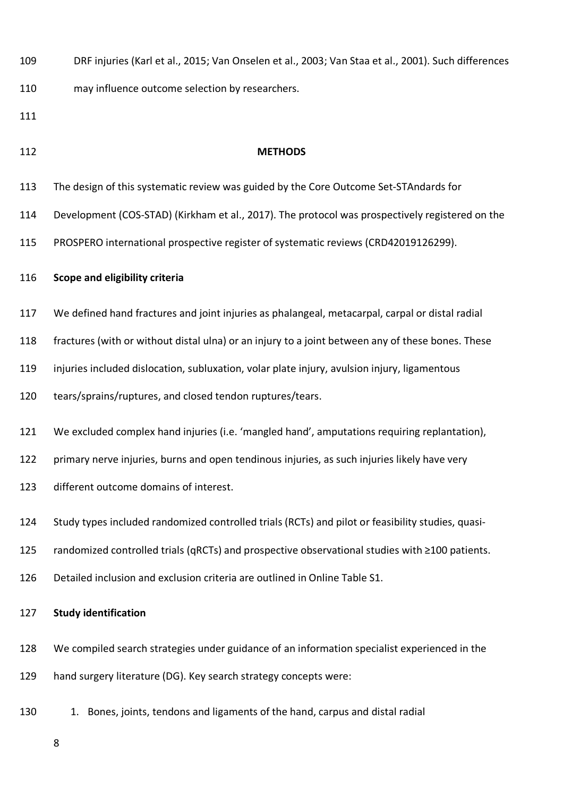- DRF injuries (Karl et al., 2015; Van Onselen et al., 2003; Van Staa et al., 2001). Such differences may influence outcome selection by researchers.
- 
- 

### **METHODS**

- The design of this systematic review was guided by the Core Outcome Set-STAndards for
- Development (COS-STAD) (Kirkham et al., 2017). The protocol was prospectively registered on the
- PROSPERO international prospective register of systematic reviews (CRD42019126299).

#### **Scope and eligibility criteria**

- We defined hand fractures and joint injuries as phalangeal, metacarpal, carpal or distal radial
- fractures (with or without distal ulna) or an injury to a joint between any of these bones. These
- injuries included dislocation, subluxation, volar plate injury, avulsion injury, ligamentous
- tears/sprains/ruptures, and closed tendon ruptures/tears.
- We excluded complex hand injuries (i.e. 'mangled hand', amputations requiring replantation),
- primary nerve injuries, burns and open tendinous injuries, as such injuries likely have very
- different outcome domains of interest.
- Study types included randomized controlled trials (RCTs) and pilot or feasibility studies, quasi-
- randomized controlled trials (qRCTs) and prospective observational studies with ≥100 patients.
- Detailed inclusion and exclusion criteria are outlined in Online Table S1.

### **Study identification**

- We compiled search strategies under guidance of an information specialist experienced in the
- hand surgery literature (DG). Key search strategy concepts were:
- 1. Bones, joints, tendons and ligaments of the hand, carpus and distal radial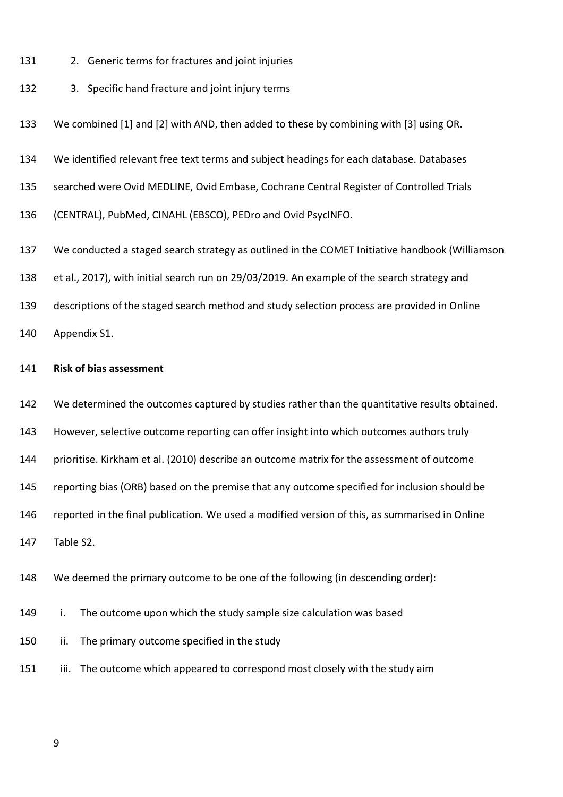- 2. Generic terms for fractures and joint injuries
- 3. Specific hand fracture and joint injury terms

We combined [1] and [2] with AND, then added to these by combining with [3] using OR.

We identified relevant free text terms and subject headings for each database. Databases

searched were Ovid MEDLINE, Ovid Embase, Cochrane Central Register of Controlled Trials

(CENTRAL), PubMed, CINAHL (EBSCO), PEDro and Ovid PsycINFO.

We conducted a staged search strategy as outlined in the COMET Initiative handbook (Williamson

et al., 2017), with initial search run on 29/03/2019. An example of the search strategy and

descriptions of the staged search method and study selection process are provided in Online

Appendix S1.

### **Risk of bias assessment**

We determined the outcomes captured by studies rather than the quantitative results obtained.

However, selective outcome reporting can offer insight into which outcomes authors truly

prioritise. Kirkham et al. (2010) describe an outcome matrix for the assessment of outcome

reporting bias (ORB) based on the premise that any outcome specified for inclusion should be

reported in the final publication. We used a modified version of this, as summarised in Online

Table S2.

We deemed the primary outcome to be one of the following (in descending order):

i. The outcome upon which the study sample size calculation was based

ii. The primary outcome specified in the study

151 iii. The outcome which appeared to correspond most closely with the study aim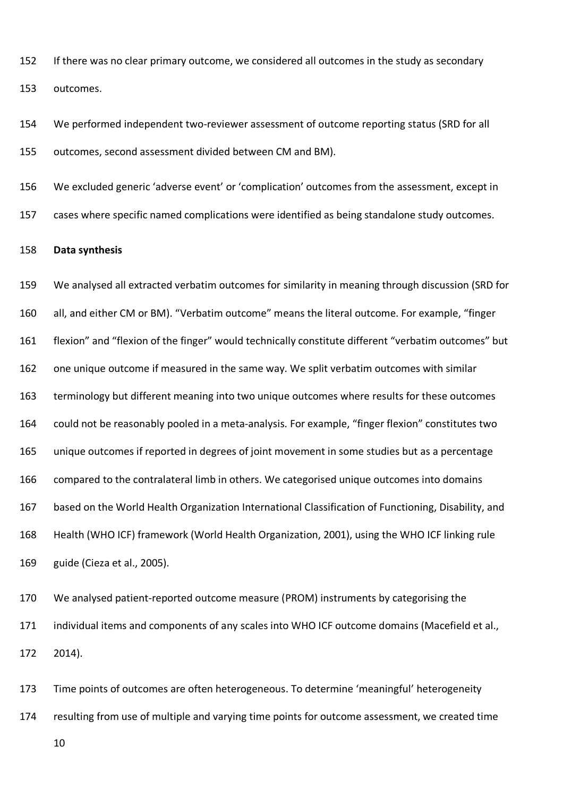If there was no clear primary outcome, we considered all outcomes in the study as secondary outcomes.

 We performed independent two-reviewer assessment of outcome reporting status (SRD for all outcomes, second assessment divided between CM and BM).

 We excluded generic 'adverse event' or 'complication' outcomes from the assessment, except in cases where specific named complications were identified as being standalone study outcomes.

### **Data synthesis**

 We analysed all extracted verbatim outcomes for similarity in meaning through discussion (SRD for all, and either CM or BM). "Verbatim outcome" means the literal outcome. For example, "finger flexion" and "flexion of the finger" would technically constitute different "verbatim outcomes" but one unique outcome if measured in the same way. We split verbatim outcomes with similar terminology but different meaning into two unique outcomes where results for these outcomes could not be reasonably pooled in a meta-analysis. For example, "finger flexion" constitutes two unique outcomes if reported in degrees of joint movement in some studies but as a percentage compared to the contralateral limb in others. We categorised unique outcomes into domains based on the World Health Organization International Classification of Functioning, Disability, and Health (WHO ICF) framework (World Health Organization, 2001), using the WHO ICF linking rule guide (Cieza et al., 2005).

 We analysed patient-reported outcome measure (PROM) instruments by categorising the individual items and components of any scales into WHO ICF outcome domains (Macefield et al., 2014).

 Time points of outcomes are often heterogeneous. To determine 'meaningful' heterogeneity resulting from use of multiple and varying time points for outcome assessment, we created time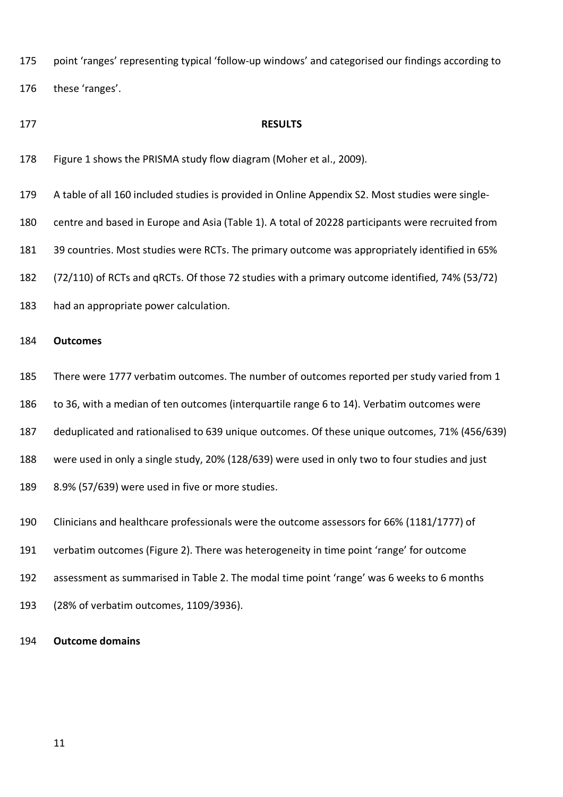point 'ranges' representing typical 'follow-up windows' and categorised our findings according to

these 'ranges'.

### **RESULTS**

- Figure 1 shows the PRISMA study flow diagram (Moher et al., 2009).
- A table of all 160 included studies is provided in Online Appendix S2. Most studies were single-
- centre and based in Europe and Asia (Table 1). A total of 20228 participants were recruited from
- 39 countries. Most studies were RCTs. The primary outcome was appropriately identified in 65%
- (72/110) of RCTs and qRCTs. Of those 72 studies with a primary outcome identified, 74% (53/72)
- had an appropriate power calculation.

### **Outcomes**

- There were 1777 verbatim outcomes. The number of outcomes reported per study varied from 1
- to 36, with a median of ten outcomes (interquartile range 6 to 14). Verbatim outcomes were
- deduplicated and rationalised to 639 unique outcomes. Of these unique outcomes, 71% (456/639)
- were used in only a single study, 20% (128/639) were used in only two to four studies and just
- 8.9% (57/639) were used in five or more studies.
- Clinicians and healthcare professionals were the outcome assessors for 66% (1181/1777) of
- verbatim outcomes (Figure 2). There was heterogeneity in time point 'range' for outcome
- assessment as summarised in Table 2. The modal time point 'range' was 6 weeks to 6 months
- (28% of verbatim outcomes, 1109/3936).

### **Outcome domains**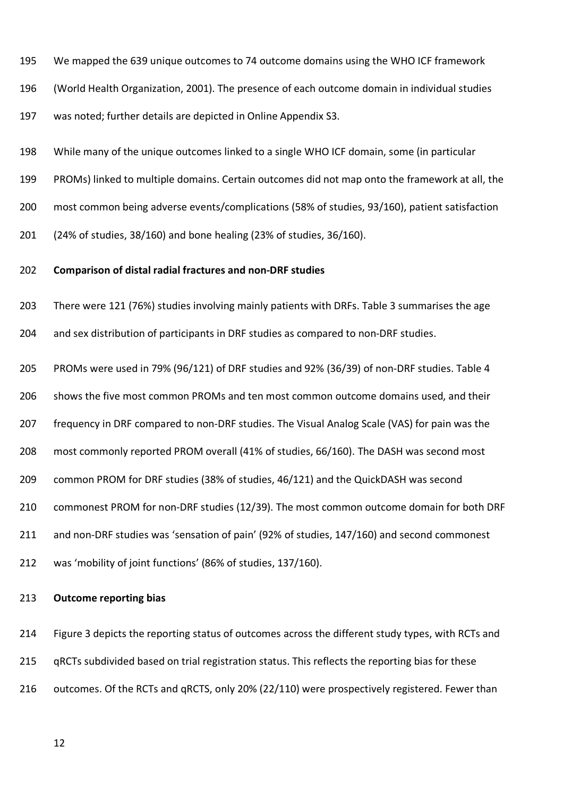We mapped the 639 unique outcomes to 74 outcome domains using the WHO ICF framework

(World Health Organization, 2001). The presence of each outcome domain in individual studies

was noted; further details are depicted in Online Appendix S3.

While many of the unique outcomes linked to a single WHO ICF domain, some (in particular

PROMs) linked to multiple domains. Certain outcomes did not map onto the framework at all, the

most common being adverse events/complications (58% of studies, 93/160), patient satisfaction

(24% of studies, 38/160) and bone healing (23% of studies, 36/160).

### **Comparison of distal radial fractures and non-DRF studies**

There were 121 (76%) studies involving mainly patients with DRFs. Table 3 summarises the age

and sex distribution of participants in DRF studies as compared to non-DRF studies.

PROMs were used in 79% (96/121) of DRF studies and 92% (36/39) of non-DRF studies. Table 4

shows the five most common PROMs and ten most common outcome domains used, and their

frequency in DRF compared to non-DRF studies. The Visual Analog Scale (VAS) for pain was the

most commonly reported PROM overall (41% of studies, 66/160). The DASH was second most

common PROM for DRF studies (38% of studies, 46/121) and the QuickDASH was second

commonest PROM for non-DRF studies (12/39). The most common outcome domain for both DRF

and non-DRF studies was 'sensation of pain' (92% of studies, 147/160) and second commonest

was 'mobility of joint functions' (86% of studies, 137/160).

### **Outcome reporting bias**

 Figure 3 depicts the reporting status of outcomes across the different study types, with RCTs and 215 qRCTs subdivided based on trial registration status. This reflects the reporting bias for these 216 outcomes. Of the RCTs and qRCTS, only 20% (22/110) were prospectively registered. Fewer than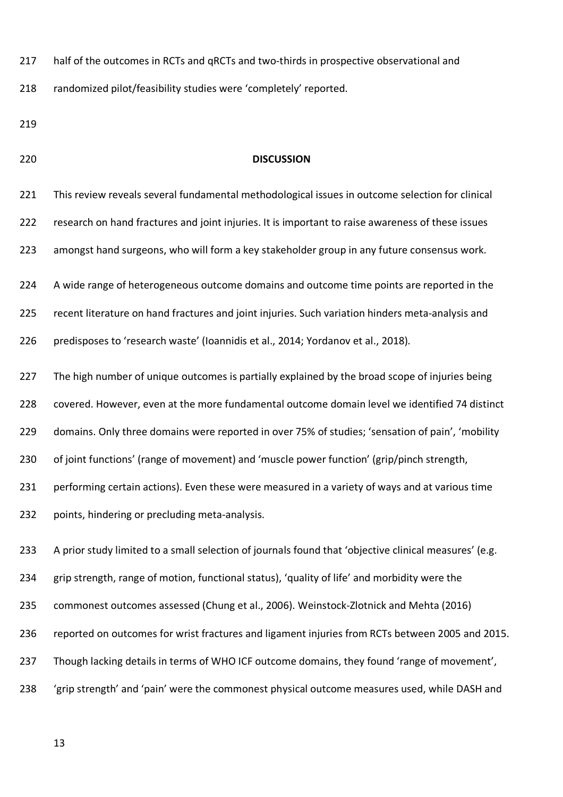217 half of the outcomes in RCTs and qRCTs and two-thirds in prospective observational and

randomized pilot/feasibility studies were 'completely' reported.

### **DISCUSSION**

 This review reveals several fundamental methodological issues in outcome selection for clinical research on hand fractures and joint injuries. It is important to raise awareness of these issues amongst hand surgeons, who will form a key stakeholder group in any future consensus work. A wide range of heterogeneous outcome domains and outcome time points are reported in the recent literature on hand fractures and joint injuries. Such variation hinders meta-analysis and predisposes to 'research waste' (Ioannidis et al., 2014; Yordanov et al., 2018). 227 The high number of unique outcomes is partially explained by the broad scope of injuries being covered. However, even at the more fundamental outcome domain level we identified 74 distinct domains. Only three domains were reported in over 75% of studies; 'sensation of pain', 'mobility of joint functions' (range of movement) and 'muscle power function' (grip/pinch strength, performing certain actions). Even these were measured in a variety of ways and at various time points, hindering or precluding meta-analysis. A prior study limited to a small selection of journals found that 'objective clinical measures' (e.g. grip strength, range of motion, functional status), 'quality of life' and morbidity were the commonest outcomes assessed (Chung et al., 2006). Weinstock-Zlotnick and Mehta (2016) reported on outcomes for wrist fractures and ligament injuries from RCTs between 2005 and 2015. 237 Though lacking details in terms of WHO ICF outcome domains, they found 'range of movement', 'grip strength' and 'pain' were the commonest physical outcome measures used, while DASH and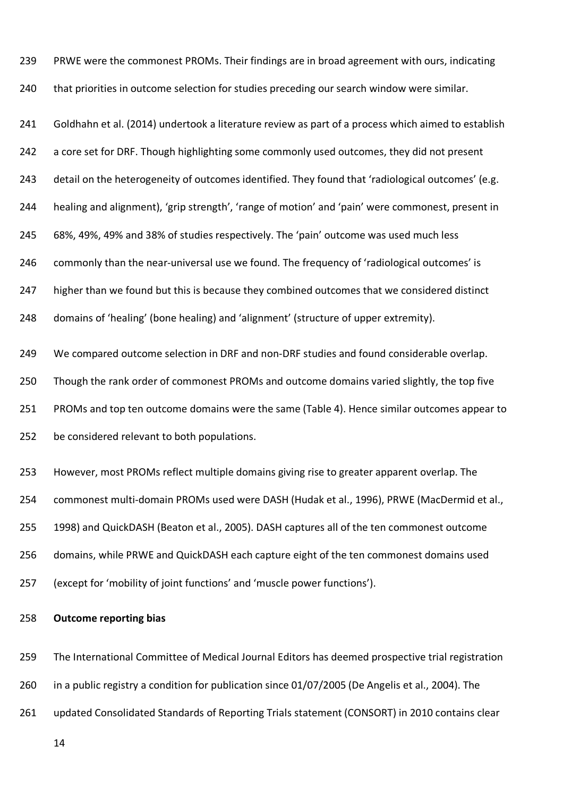PRWE were the commonest PROMs. Their findings are in broad agreement with ours, indicating

240 that priorities in outcome selection for studies preceding our search window were similar.

 Goldhahn et al. (2014) undertook a literature review as part of a process which aimed to establish 242 a core set for DRF. Though highlighting some commonly used outcomes, they did not present detail on the heterogeneity of outcomes identified. They found that 'radiological outcomes' (e.g. healing and alignment), 'grip strength', 'range of motion' and 'pain' were commonest, present in 68%, 49%, 49% and 38% of studies respectively. The 'pain' outcome was used much less commonly than the near-universal use we found. The frequency of 'radiological outcomes' is 247 higher than we found but this is because they combined outcomes that we considered distinct domains of 'healing' (bone healing) and 'alignment' (structure of upper extremity). We compared outcome selection in DRF and non-DRF studies and found considerable overlap. Though the rank order of commonest PROMs and outcome domains varied slightly, the top five PROMs and top ten outcome domains were the same (Table 4). Hence similar outcomes appear to be considered relevant to both populations.

 However, most PROMs reflect multiple domains giving rise to greater apparent overlap. The commonest multi-domain PROMs used were DASH (Hudak et al., 1996), PRWE (MacDermid et al., 1998) and QuickDASH (Beaton et al., 2005). DASH captures all of the ten commonest outcome domains, while PRWE and QuickDASH each capture eight of the ten commonest domains used (except for 'mobility of joint functions' and 'muscle power functions').

**Outcome reporting bias**

 The International Committee of Medical Journal Editors has deemed prospective trial registration in a public registry a condition for publication since 01/07/2005 (De Angelis et al., 2004). The updated Consolidated Standards of Reporting Trials statement (CONSORT) in 2010 contains clear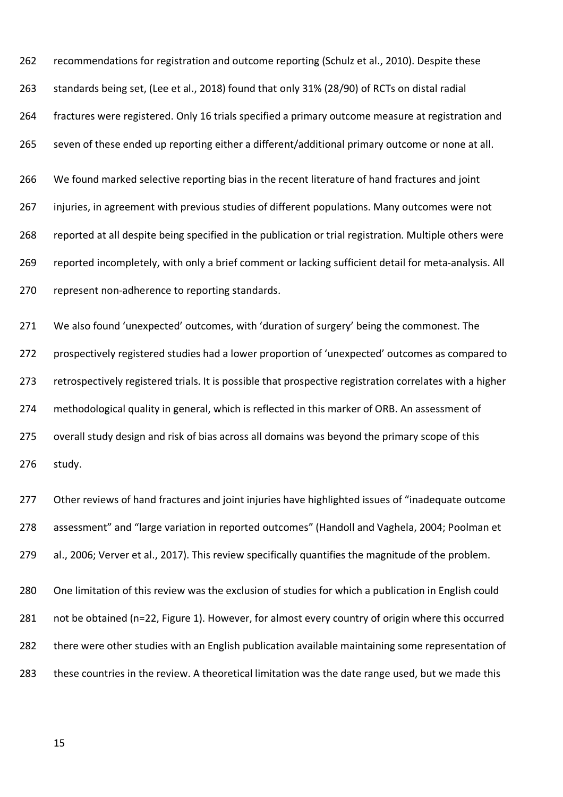recommendations for registration and outcome reporting (Schulz et al., 2010). Despite these standards being set, (Lee et al., 2018) found that only 31% (28/90) of RCTs on distal radial fractures were registered. Only 16 trials specified a primary outcome measure at registration and seven of these ended up reporting either a different/additional primary outcome or none at all. We found marked selective reporting bias in the recent literature of hand fractures and joint injuries, in agreement with previous studies of different populations. Many outcomes were not reported at all despite being specified in the publication or trial registration. Multiple others were reported incompletely, with only a brief comment or lacking sufficient detail for meta-analysis. All represent non-adherence to reporting standards.

271 We also found 'unexpected' outcomes, with 'duration of surgery' being the commonest. The prospectively registered studies had a lower proportion of 'unexpected' outcomes as compared to retrospectively registered trials. It is possible that prospective registration correlates with a higher methodological quality in general, which is reflected in this marker of ORB. An assessment of overall study design and risk of bias across all domains was beyond the primary scope of this study.

 Other reviews of hand fractures and joint injuries have highlighted issues of "inadequate outcome assessment" and "large variation in reported outcomes" (Handoll and Vaghela, 2004; Poolman et al., 2006; Verver et al., 2017). This review specifically quantifies the magnitude of the problem.

 One limitation of this review was the exclusion of studies for which a publication in English could not be obtained (n=22, Figure 1). However, for almost every country of origin where this occurred there were other studies with an English publication available maintaining some representation of these countries in the review. A theoretical limitation was the date range used, but we made this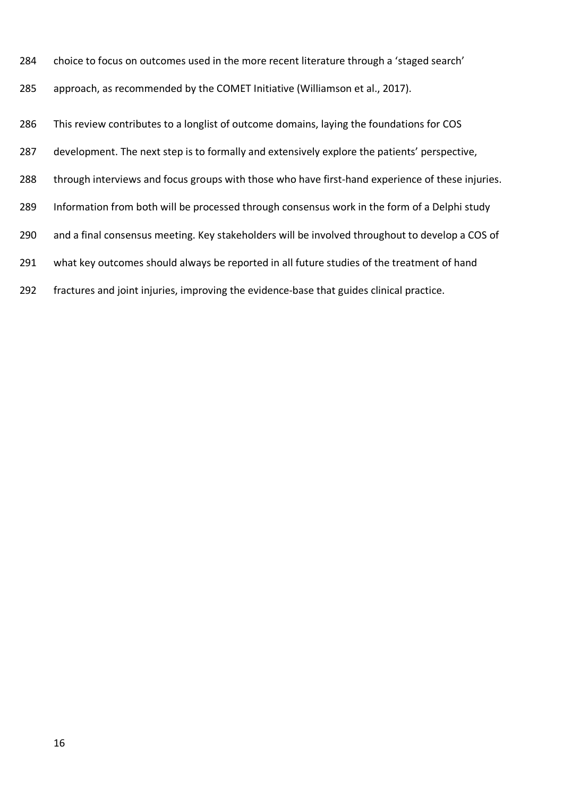- choice to focus on outcomes used in the more recent literature through a 'staged search'
- approach, as recommended by the COMET Initiative (Williamson et al., 2017).

This review contributes to a longlist of outcome domains, laying the foundations for COS

- 287 development. The next step is to formally and extensively explore the patients' perspective,
- through interviews and focus groups with those who have first-hand experience of these injuries.
- Information from both will be processed through consensus work in the form of a Delphi study
- and a final consensus meeting. Key stakeholders will be involved throughout to develop a COS of
- 291 what key outcomes should always be reported in all future studies of the treatment of hand
- fractures and joint injuries, improving the evidence-base that guides clinical practice.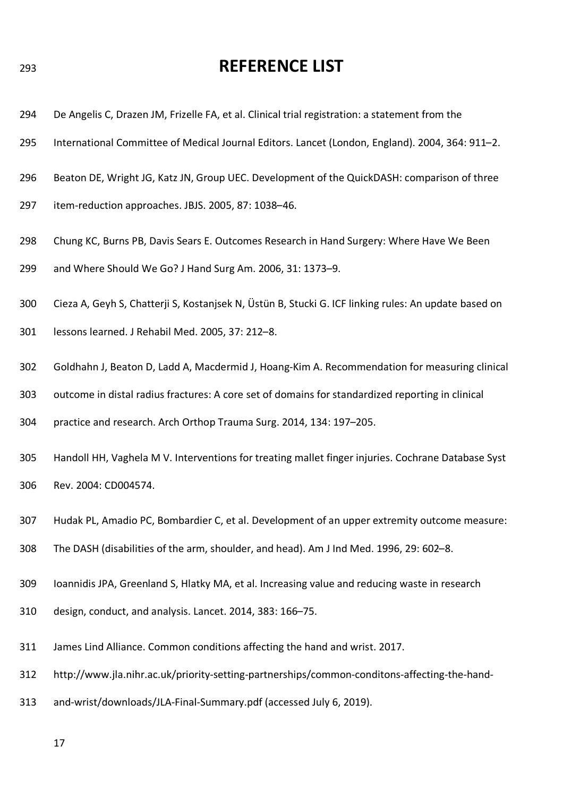# **REFERENCE LIST**

- De Angelis C, Drazen JM, Frizelle FA, et al. Clinical trial registration: a statement from the
- International Committee of Medical Journal Editors. Lancet (London, England). 2004, 364: 911–2.
- Beaton DE, Wright JG, Katz JN, Group UEC. Development of the QuickDASH: comparison of three
- item-reduction approaches. JBJS. 2005, 87: 1038–46.
- Chung KC, Burns PB, Davis Sears E. Outcomes Research in Hand Surgery: Where Have We Been and Where Should We Go? J Hand Surg Am. 2006, 31: 1373–9.
- Cieza A, Geyh S, Chatterji S, Kostanjsek N, Üstün B, Stucki G. ICF linking rules: An update based on
- lessons learned. J Rehabil Med. 2005, 37: 212–8.
- Goldhahn J, Beaton D, Ladd A, Macdermid J, Hoang-Kim A. Recommendation for measuring clinical
- outcome in distal radius fractures: A core set of domains for standardized reporting in clinical
- practice and research. Arch Orthop Trauma Surg. 2014, 134: 197–205.
- Handoll HH, Vaghela M V. Interventions for treating mallet finger injuries. Cochrane Database Syst Rev. 2004: CD004574.
- Hudak PL, Amadio PC, Bombardier C, et al. Development of an upper extremity outcome measure:
- The DASH (disabilities of the arm, shoulder, and head). Am J Ind Med. 1996, 29: 602–8.
- Ioannidis JPA, Greenland S, Hlatky MA, et al. Increasing value and reducing waste in research
- design, conduct, and analysis. Lancet. 2014, 383: 166–75.
- James Lind Alliance. Common conditions affecting the hand and wrist. 2017.
- [http://www.jla.nihr.ac.uk/priority-setting-partnerships/common-conditons-affecting-the-hand-](http://www.jla.nihr.ac.uk/priority-setting-partnerships/common-conditons-affecting-the-hand-312)
- and-wrist/downloads/JLA-Final-Summary.pdf (accessed July 6, 2019).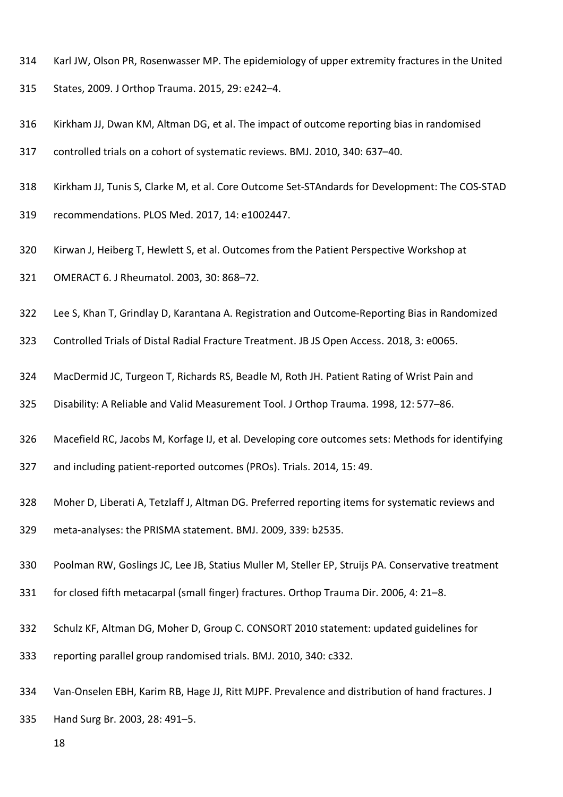- Karl JW, Olson PR, Rosenwasser MP. The epidemiology of upper extremity fractures in the United
- States, 2009. J Orthop Trauma. 2015, 29: e242–4.
- Kirkham JJ, Dwan KM, Altman DG, et al. The impact of outcome reporting bias in randomised
- controlled trials on a cohort of systematic reviews. BMJ. 2010, 340: 637–40.
- Kirkham JJ, Tunis S, Clarke M, et al. Core Outcome Set-STAndards for Development: The COS-STAD
- recommendations. PLOS Med. 2017, 14: e1002447.
- Kirwan J, Heiberg T, Hewlett S, et al. Outcomes from the Patient Perspective Workshop at
- OMERACT 6. J Rheumatol. 2003, 30: 868–72.
- Lee S, Khan T, Grindlay D, Karantana A. Registration and Outcome-Reporting Bias in Randomized
- Controlled Trials of Distal Radial Fracture Treatment. JB JS Open Access. 2018, 3: e0065.
- MacDermid JC, Turgeon T, Richards RS, Beadle M, Roth JH. Patient Rating of Wrist Pain and
- Disability: A Reliable and Valid Measurement Tool. J Orthop Trauma. 1998, 12: 577–86.
- Macefield RC, Jacobs M, Korfage IJ, et al. Developing core outcomes sets: Methods for identifying
- and including patient-reported outcomes (PROs). Trials. 2014, 15: 49.
- Moher D, Liberati A, Tetzlaff J, Altman DG. Preferred reporting items for systematic reviews and
- meta-analyses: the PRISMA statement. BMJ. 2009, 339: b2535.
- Poolman RW, Goslings JC, Lee JB, Statius Muller M, Steller EP, Struijs PA. Conservative treatment
- for closed fifth metacarpal (small finger) fractures. Orthop Trauma Dir. 2006, 4: 21–8.
- Schulz KF, Altman DG, Moher D, Group C. CONSORT 2010 statement: updated guidelines for
- reporting parallel group randomised trials. BMJ. 2010, 340: c332.
- Van-Onselen EBH, Karim RB, Hage JJ, Ritt MJPF. Prevalence and distribution of hand fractures. J
- Hand Surg Br. 2003, 28: 491–5.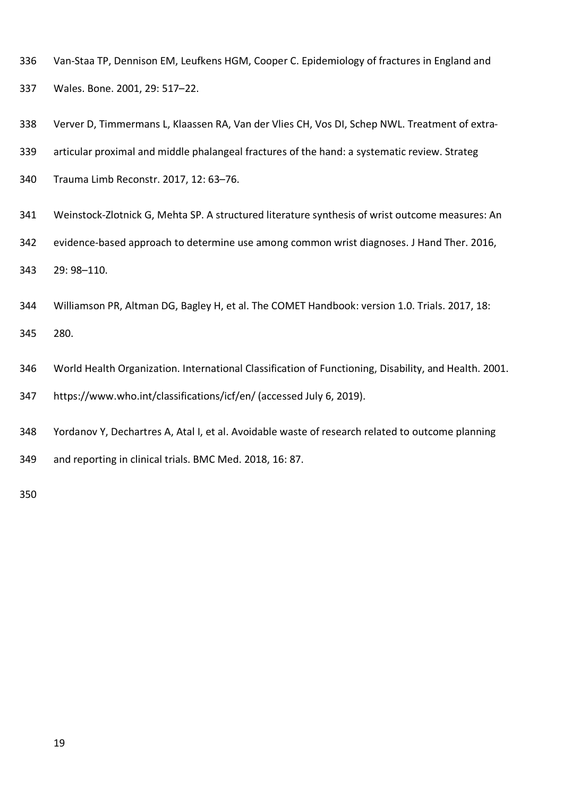- Van-Staa TP, Dennison EM, Leufkens HGM, Cooper C. Epidemiology of fractures in England and
- Wales. Bone. 2001, 29: 517–22.
- Verver D, Timmermans L, Klaassen RA, Van der Vlies CH, Vos DI, Schep NWL. Treatment of extra-
- articular proximal and middle phalangeal fractures of the hand: a systematic review. Strateg
- Trauma Limb Reconstr. 2017, 12: 63–76.
- Weinstock-Zlotnick G, Mehta SP. A structured literature synthesis of wrist outcome measures: An
- evidence-based approach to determine use among common wrist diagnoses. J Hand Ther. 2016,

29: 98–110.

Williamson PR, Altman DG, Bagley H, et al. The COMET Handbook: version 1.0. Trials. 2017, 18:

280.

- World Health Organization. International Classification of Functioning, Disability, and Health. 2001.
- <https://www.who.int/classifications/icf/en/>(accessed July 6, 2019).
- Yordanov Y, Dechartres A, Atal I, et al. Avoidable waste of research related to outcome planning
- and reporting in clinical trials. BMC Med. 2018, 16: 87.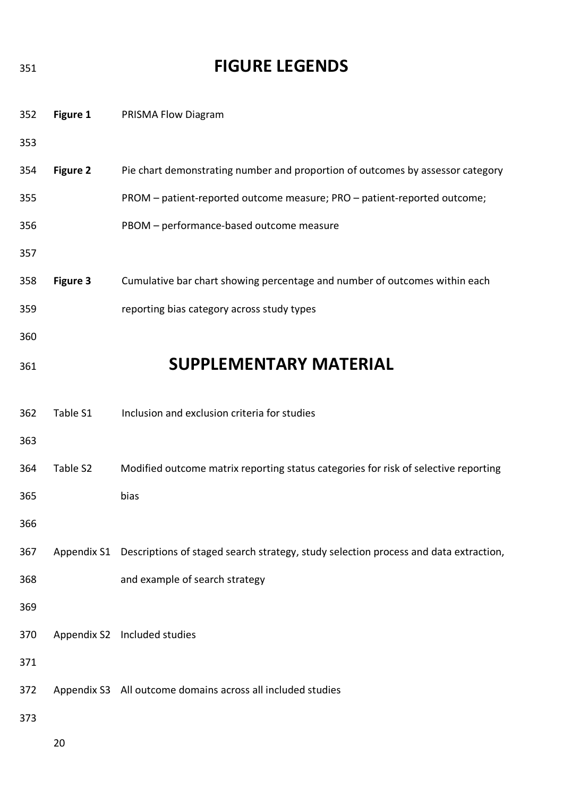| 351 |                 | <b>FIGURE LEGENDS</b>                                                                            |
|-----|-----------------|--------------------------------------------------------------------------------------------------|
| 352 | Figure 1        | PRISMA Flow Diagram                                                                              |
| 353 |                 |                                                                                                  |
| 354 | <b>Figure 2</b> | Pie chart demonstrating number and proportion of outcomes by assessor category                   |
| 355 |                 | PROM - patient-reported outcome measure; PRO - patient-reported outcome;                         |
| 356 |                 | PBOM - performance-based outcome measure                                                         |
| 357 |                 |                                                                                                  |
| 358 | <b>Figure 3</b> | Cumulative bar chart showing percentage and number of outcomes within each                       |
| 359 |                 | reporting bias category across study types                                                       |
| 360 |                 |                                                                                                  |
| 361 |                 | <b>SUPPLEMENTARY MATERIAL</b>                                                                    |
|     |                 |                                                                                                  |
| 362 | Table S1        | Inclusion and exclusion criteria for studies                                                     |
| 363 |                 |                                                                                                  |
| 364 | Table S2        | Modified outcome matrix reporting status categories for risk of selective reporting              |
| 365 |                 | bias                                                                                             |
| 366 |                 |                                                                                                  |
| 367 |                 | Appendix S1 Descriptions of staged search strategy, study selection process and data extraction, |
| 368 |                 | and example of search strategy                                                                   |
| 369 |                 |                                                                                                  |
| 370 |                 | Appendix S2 Included studies                                                                     |
| 371 |                 |                                                                                                  |
| 372 |                 | Appendix S3 All outcome domains across all included studies                                      |
| 373 |                 |                                                                                                  |
|     | 20              |                                                                                                  |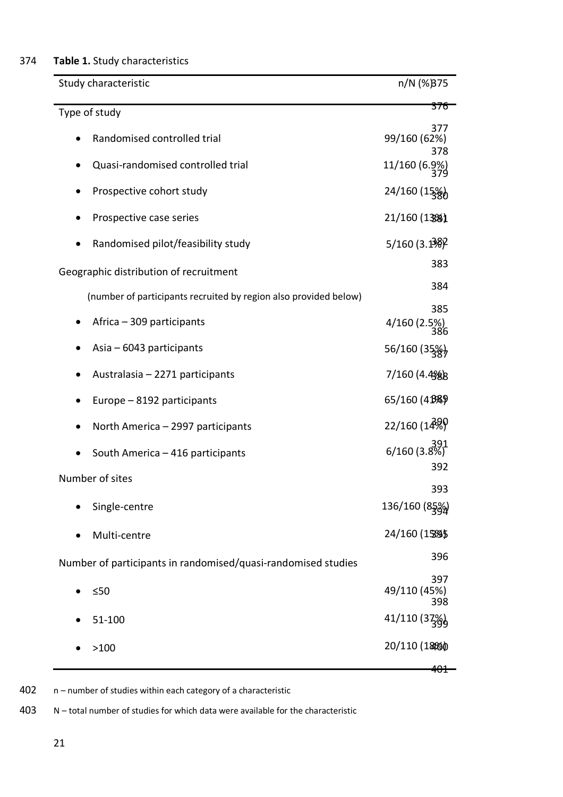## 374 **Table 1.** Study characteristics

| Study characteristic                                             | n/N (%)375                 |
|------------------------------------------------------------------|----------------------------|
| Type of study                                                    | 376                        |
| Randomised controlled trial                                      | 377<br>99/160 (62%)<br>378 |
| Quasi-randomised controlled trial                                | 11/160 (6.9%)              |
| Prospective cohort study                                         | 24/160 (15%)               |
| Prospective case series                                          | 21/160 (13%)               |
| Randomised pilot/feasibility study                               | $5/160(3.1\frac{3}{8})$    |
| Geographic distribution of recruitment                           | 383                        |
| (number of participants recruited by region also provided below) | 384                        |
| Africa - 309 participants<br>$\bullet$                           | 385<br>4/160 (2.5%)<br>386 |
| Asia $-6043$ participants                                        | 56/160 (35%)               |
| Australasia - 2271 participants                                  | 7/160 (4.4%)               |
| Europe - 8192 participants                                       | 65/160 (43%)               |
| North America - 2997 participants<br>$\bullet$                   | 22/160 (14%)               |
| South America - 416 participants                                 | $6/160(3.8\%)$<br>392      |
| Number of sites                                                  | 393                        |
| Single-centre                                                    | 136/160 (85%)              |
| Multi-centre                                                     | 24/160 (15%)               |
| Number of participants in randomised/quasi-randomised studies    | 396                        |
| $\leq 50$<br>$\bullet$                                           | 397<br>49/110 (45%)<br>398 |
| 51-100                                                           | 41/110 (37%)               |
| >100                                                             | 20/110 (1896)              |
|                                                                  |                            |

402 n – number of studies within each category of a characteristic

403 N – total number of studies for which data were available for the characteristic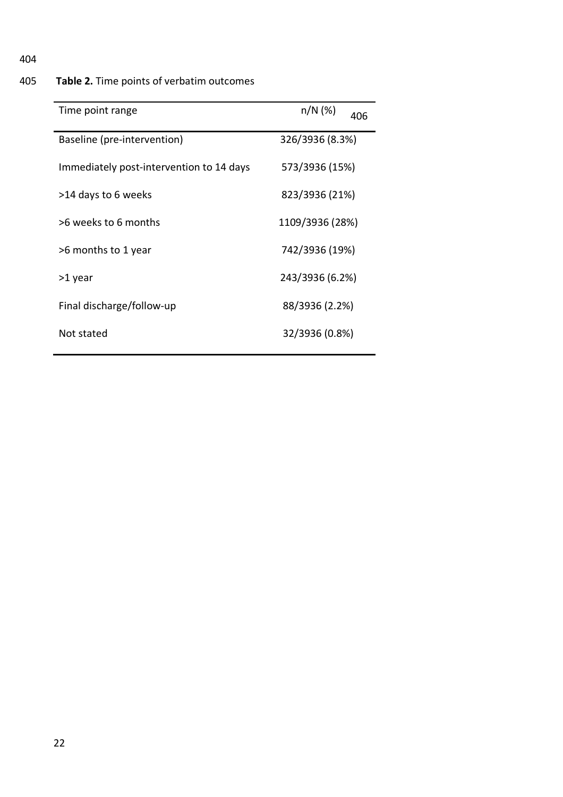## 405 **Table 2.** Time points of verbatim outcomes

| Time point range                         | $n/N$ (%)<br>406 |
|------------------------------------------|------------------|
| Baseline (pre-intervention)              | 326/3936 (8.3%)  |
| Immediately post-intervention to 14 days | 573/3936 (15%)   |
| >14 days to 6 weeks                      | 823/3936 (21%)   |
| >6 weeks to 6 months                     | 1109/3936 (28%)  |
| >6 months to 1 year                      | 742/3936 (19%)   |
| >1 year                                  | 243/3936 (6.2%)  |
| Final discharge/follow-up                | 88/3936 (2.2%)   |
| Not stated                               | 32/3936 (0.8%)   |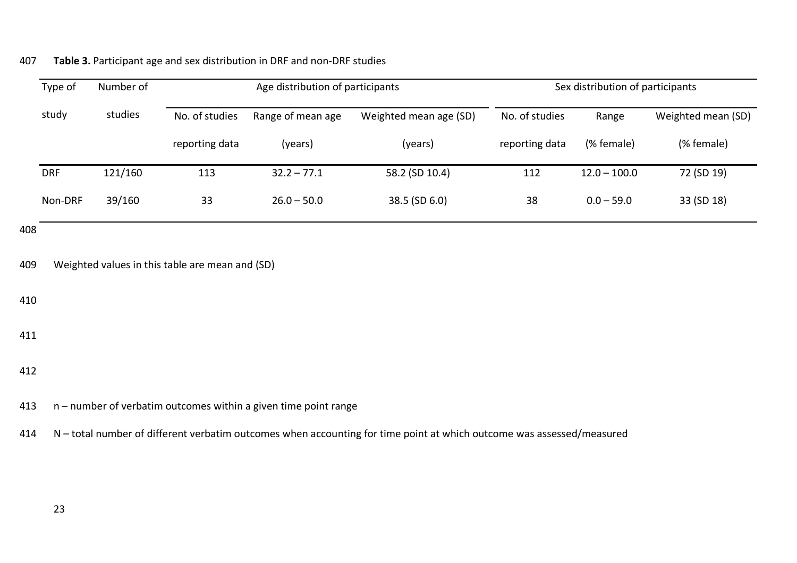|     | Type of    | Number of |                                                 | Age distribution of participants                                |                        |                | Sex distribution of participants |                    |
|-----|------------|-----------|-------------------------------------------------|-----------------------------------------------------------------|------------------------|----------------|----------------------------------|--------------------|
|     | study      | studies   | No. of studies                                  | Range of mean age                                               | Weighted mean age (SD) | No. of studies | Range                            | Weighted mean (SD) |
|     |            |           | reporting data                                  | (years)                                                         | (years)                | reporting data | (% female)                       | (% female)         |
|     | <b>DRF</b> | 121/160   | 113                                             | $32.2 - 77.1$                                                   | 58.2 (SD 10.4)         | 112            | $12.0 - 100.0$                   | 72 (SD 19)         |
|     | Non-DRF    | 39/160    | 33                                              | $26.0 - 50.0$                                                   | 38.5 (SD 6.0)          | 38             | $0.0 - 59.0$                     | 33 (SD 18)         |
| 408 |            |           |                                                 |                                                                 |                        |                |                                  |                    |
| 409 |            |           | Weighted values in this table are mean and (SD) |                                                                 |                        |                |                                  |                    |
| 410 |            |           |                                                 |                                                                 |                        |                |                                  |                    |
| 411 |            |           |                                                 |                                                                 |                        |                |                                  |                    |
| 412 |            |           |                                                 |                                                                 |                        |                |                                  |                    |
| 413 |            |           |                                                 | n - number of verbatim outcomes within a given time point range |                        |                |                                  |                    |

## 407 **Table 3.** Participant age and sex distribution in DRF and non-DRF studies

414 N – total number of different verbatim outcomes when accounting for time point at which outcome was assessed/measured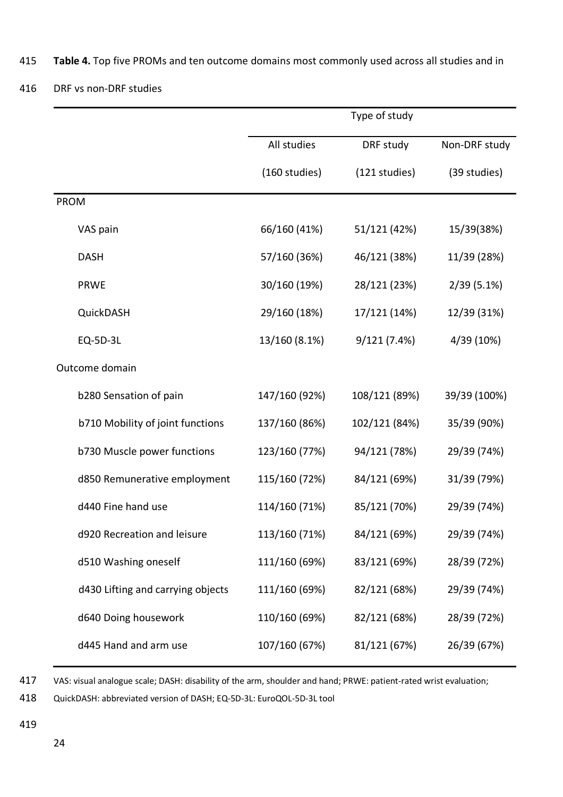415 **Table 4.** Top five PROMs and ten outcome domains most commonly used across all studies and in

## 416 DRF vs non-DRF studies

|                                   |               | Type of study |               |
|-----------------------------------|---------------|---------------|---------------|
|                                   | All studies   | DRF study     | Non-DRF study |
|                                   | (160 studies) | (121 studies) | (39 studies)  |
| <b>PROM</b>                       |               |               |               |
| VAS pain                          | 66/160 (41%)  | 51/121 (42%)  | 15/39(38%)    |
| <b>DASH</b>                       | 57/160 (36%)  | 46/121 (38%)  | 11/39 (28%)   |
| <b>PRWE</b>                       | 30/160 (19%)  | 28/121 (23%)  | $2/39(5.1\%)$ |
| QuickDASH                         | 29/160 (18%)  | 17/121 (14%)  | 12/39 (31%)   |
| <b>EQ-5D-3L</b>                   | 13/160 (8.1%) | 9/121(7.4%)   | 4/39 (10%)    |
| Outcome domain                    |               |               |               |
| b280 Sensation of pain            | 147/160 (92%) | 108/121 (89%) | 39/39 (100%)  |
| b710 Mobility of joint functions  | 137/160 (86%) | 102/121 (84%) | 35/39 (90%)   |
| b730 Muscle power functions       | 123/160 (77%) | 94/121 (78%)  | 29/39 (74%)   |
| d850 Remunerative employment      | 115/160 (72%) | 84/121 (69%)  | 31/39 (79%)   |
| d440 Fine hand use                | 114/160 (71%) | 85/121 (70%)  | 29/39 (74%)   |
| d920 Recreation and leisure       | 113/160 (71%) | 84/121 (69%)  | 29/39 (74%)   |
| d510 Washing oneself              | 111/160 (69%) | 83/121 (69%)  | 28/39 (72%)   |
| d430 Lifting and carrying objects | 111/160 (69%) | 82/121 (68%)  | 29/39 (74%)   |
| d640 Doing housework              | 110/160 (69%) | 82/121 (68%)  | 28/39 (72%)   |
| d445 Hand and arm use             | 107/160 (67%) | 81/121 (67%)  | 26/39 (67%)   |

417 VAS: visual analogue scale; DASH: disability of the arm, shoulder and hand; PRWE: patient-rated wrist evaluation;

418 QuickDASH: abbreviated version of DASH; EQ-5D-3L: EuroQOL-5D-3L tool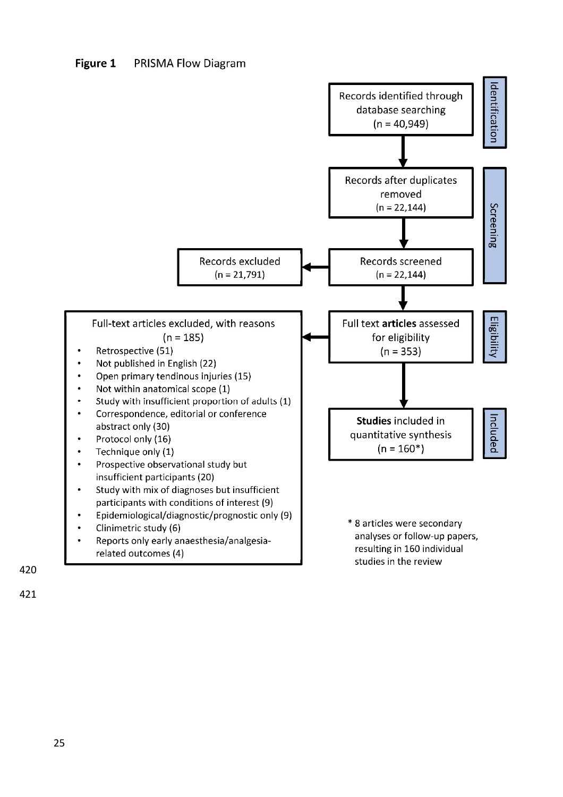#### Figure 1 **PRISMA Flow Diagram**



420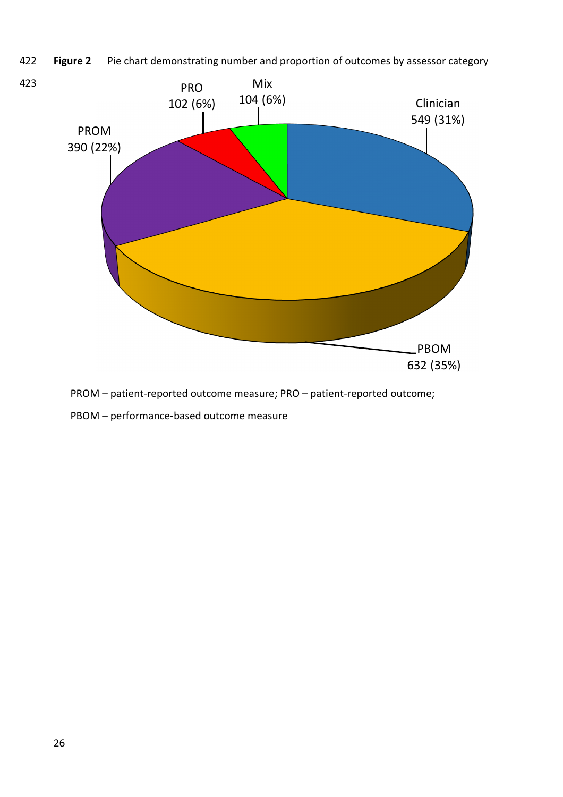422 **Figure 2** Pie chart demonstrating number and proportion of outcomes by assessor category



PROM – patient-reported outcome measure; PRO – patient-reported outcome;

PBOM – performance-based outcome measure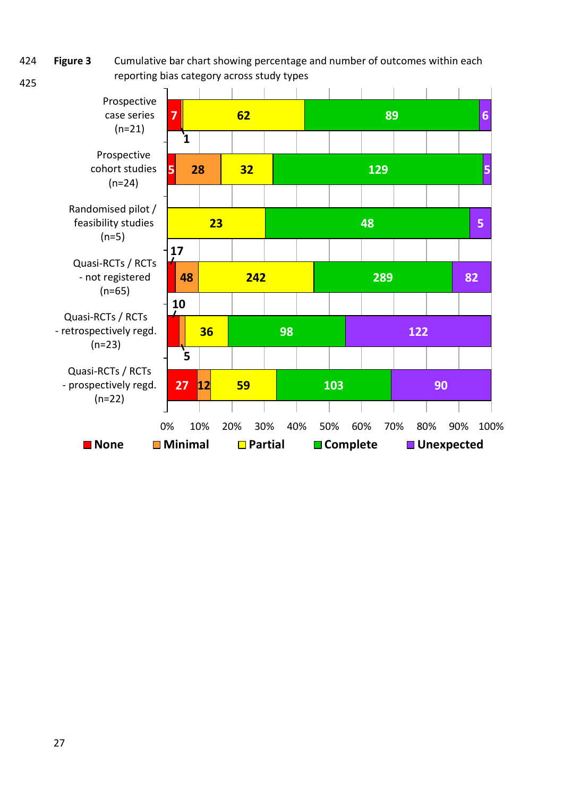424 425 **Figure 3** Cumulative bar chart showing percentage and number of outcomes within each reporting bias category across study types

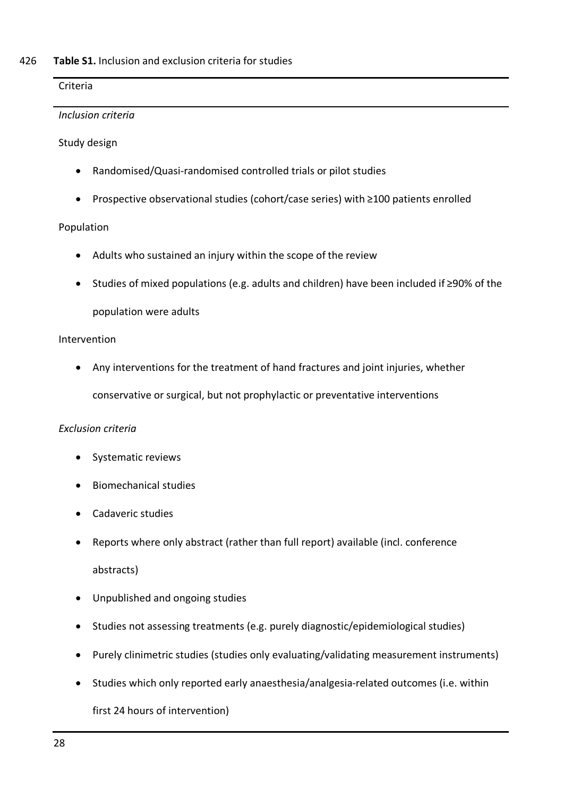### Criteria

### *Inclusion criteria*

Study design

- Randomised/Quasi-randomised controlled trials or pilot studies
- Prospective observational studies (cohort/case series) with ≥100 patients enrolled

## Population

- Adults who sustained an injury within the scope of the review
- Studies of mixed populations (e.g. adults and children) have been included if ≥90% of the population were adults

### Intervention

 Any interventions for the treatment of hand fractures and joint injuries, whether conservative or surgical, but not prophylactic or preventative interventions

## *Exclusion criteria*

- Systematic reviews
- Biomechanical studies
- Cadaveric studies
- Reports where only abstract (rather than full report) available (incl. conference abstracts)
- Unpublished and ongoing studies
- Studies not assessing treatments (e.g. purely diagnostic/epidemiological studies)
- Purely clinimetric studies (studies only evaluating/validating measurement instruments)
- Studies which only reported early anaesthesia/analgesia-related outcomes (i.e. within

## first 24 hours of intervention)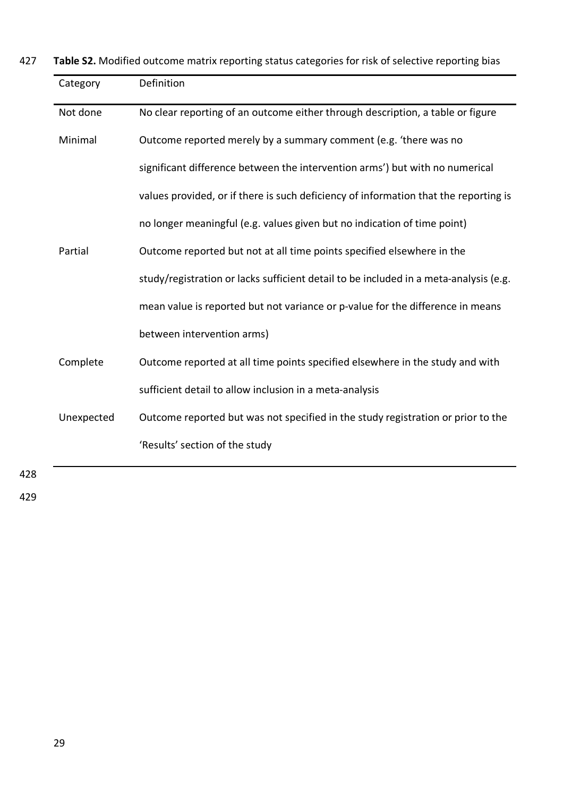427 **Table S2.** Modified outcome matrix reporting status categories for risk of selective reporting bias

| Definition                                                                            |
|---------------------------------------------------------------------------------------|
| No clear reporting of an outcome either through description, a table or figure        |
| Outcome reported merely by a summary comment (e.g. 'there was no                      |
| significant difference between the intervention arms') but with no numerical          |
| values provided, or if there is such deficiency of information that the reporting is  |
| no longer meaningful (e.g. values given but no indication of time point)              |
| Outcome reported but not at all time points specified elsewhere in the                |
| study/registration or lacks sufficient detail to be included in a meta-analysis (e.g. |
| mean value is reported but not variance or p-value for the difference in means        |
| between intervention arms)                                                            |
| Outcome reported at all time points specified elsewhere in the study and with         |
| sufficient detail to allow inclusion in a meta-analysis                               |
| Outcome reported but was not specified in the study registration or prior to the      |
| 'Results' section of the study                                                        |
|                                                                                       |

428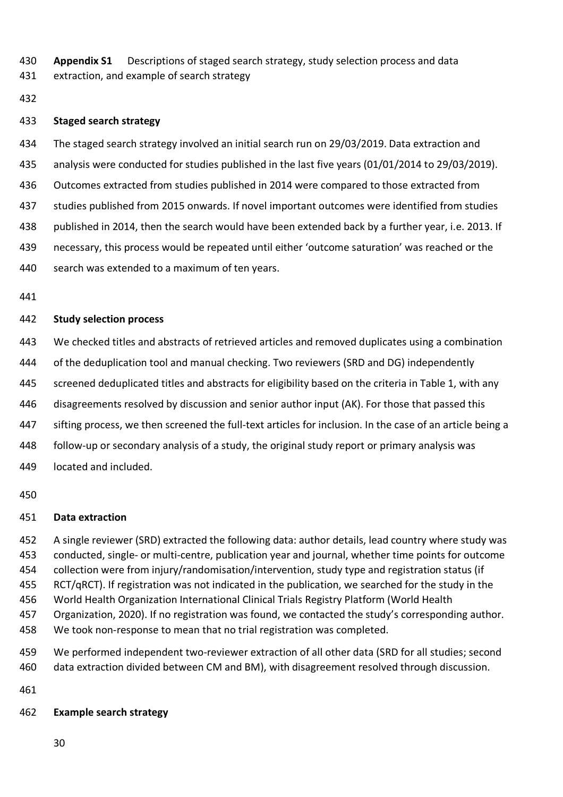**Appendix S1** Descriptions of staged search strategy, study selection process and data

extraction, and example of search strategy

### **Staged search strategy**

The staged search strategy involved an initial search run on 29/03/2019. Data extraction and

analysis were conducted for studies published in the last five years (01/01/2014 to 29/03/2019).

Outcomes extracted from studies published in 2014 were compared to those extracted from

studies published from 2015 onwards. If novel important outcomes were identified from studies

published in 2014, then the search would have been extended back by a further year, i.e. 2013. If

necessary, this process would be repeated until either 'outcome saturation' was reached or the

search was extended to a maximum of ten years.

### **Study selection process**

We checked titles and abstracts of retrieved articles and removed duplicates using a combination

of the deduplication tool and manual checking. Two reviewers (SRD and DG) independently

445 screened deduplicated titles and abstracts for eligibility based on the criteria in Table 1, with any

disagreements resolved by discussion and senior author input (AK). For those that passed this

sifting process, we then screened the full-text articles for inclusion. In the case of an article being a

follow-up or secondary analysis of a study, the original study report or primary analysis was

located and included.

### **Data extraction**

 A single reviewer (SRD) extracted the following data: author details, lead country where study was conducted, single- or multi-centre, publication year and journal, whether time points for outcome collection were from injury/randomisation/intervention, study type and registration status (if RCT/qRCT). If registration was not indicated in the publication, we searched for the study in the World Health Organization International Clinical Trials Registry Platform (World Health Organization, 2020). If no registration was found, we contacted the study's corresponding author. We took non-response to mean that no trial registration was completed.

 We performed independent two-reviewer extraction of all other data (SRD for all studies; second data extraction divided between CM and BM), with disagreement resolved through discussion.

## **Example search strategy**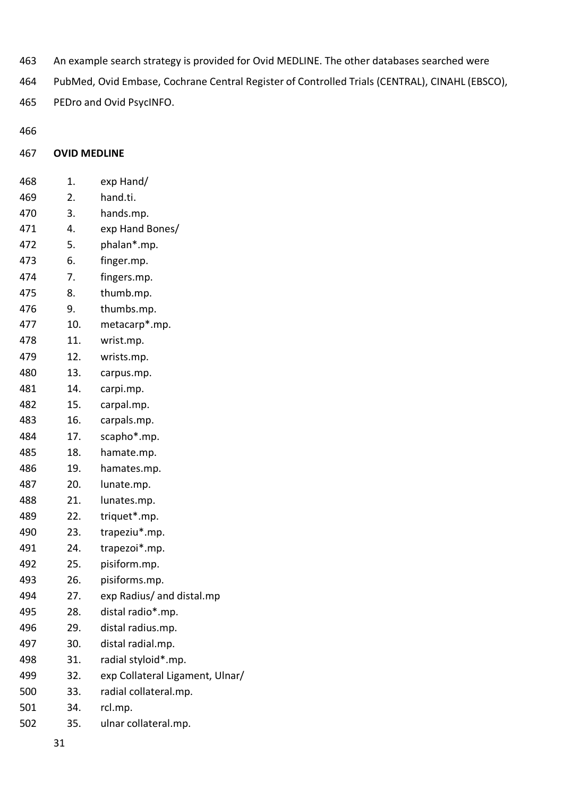- An example search strategy is provided for Ovid MEDLINE. The other databases searched were
- PubMed, Ovid Embase, Cochrane Central Register of Controlled Trials (CENTRAL), CINAHL (EBSCO),
- PEDro and Ovid PsycINFO.

## **OVID MEDLINE**

| 468 | 1.  | exp Hand/                       |
|-----|-----|---------------------------------|
| 469 | 2.  | hand.ti.                        |
| 470 | 3.  | hands.mp.                       |
| 471 | 4.  | exp Hand Bones/                 |
| 472 | 5.  | phalan <sup>*</sup> .mp.        |
| 473 | 6.  | finger.mp.                      |
| 474 | 7.  | fingers.mp.                     |
| 475 | 8.  | thumb.mp.                       |
| 476 | 9.  | thumbs.mp.                      |
| 477 | 10. | metacarp*.mp.                   |
| 478 | 11. | wrist.mp.                       |
| 479 | 12. | wrists.mp.                      |
| 480 | 13. | carpus.mp.                      |
| 481 | 14. | carpi.mp.                       |
| 482 | 15. | carpal.mp.                      |
| 483 | 16. | carpals.mp.                     |
| 484 | 17. | scapho*.mp.                     |
| 485 | 18. | hamate.mp.                      |
| 486 | 19. | hamates.mp.                     |
| 487 | 20. | lunate.mp.                      |
| 488 | 21. | lunates.mp.                     |
| 489 | 22. | triquet*.mp.                    |
| 490 | 23. | trapeziu*.mp.                   |
| 491 | 24. | trapezoi*.mp.                   |
| 492 | 25. | pisiform.mp.                    |
| 493 | 26. | pisiforms.mp.                   |
| 494 | 27. | exp Radius/ and distal.mp       |
| 495 | 28. | distal radio*.mp.               |
| 496 | 29. | distal radius.mp.               |
| 497 | 30. | distal radial.mp.               |
| 498 | 31. | radial styloid*.mp.             |
| 499 | 32. | exp Collateral Ligament, Ulnar/ |
| 500 | 33. | radial collateral.mp.           |
| 501 | 34. | rcl.mp.                         |
| 502 | 35. | ulnar collateral.mp.            |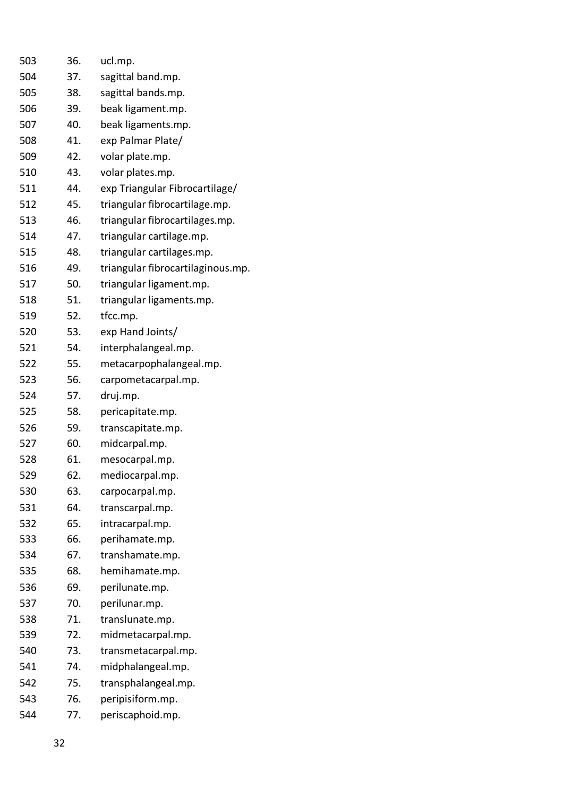| 503 | 36. | ucl.mp.                           |
|-----|-----|-----------------------------------|
| 504 | 37. | sagittal band.mp.                 |
| 505 | 38. | sagittal bands.mp.                |
| 506 | 39. | beak ligament.mp.                 |
| 507 | 40. | beak ligaments.mp.                |
| 508 | 41. | exp Palmar Plate/                 |
| 509 | 42. | volar plate.mp.                   |
| 510 | 43. | volar plates.mp.                  |
| 511 | 44. | exp Triangular Fibrocartilage/    |
| 512 | 45. | triangular fibrocartilage.mp.     |
| 513 | 46. | triangular fibrocartilages.mp.    |
| 514 | 47. | triangular cartilage.mp.          |
| 515 | 48. | triangular cartilages.mp.         |
| 516 | 49. | triangular fibrocartilaginous.mp. |
| 517 | 50. | triangular ligament.mp.           |
| 518 | 51. | triangular ligaments.mp.          |
| 519 | 52. | tfcc.mp.                          |
| 520 | 53. | exp Hand Joints/                  |
| 521 | 54. | interphalangeal.mp.               |
| 522 | 55. | metacarpophalangeal.mp.           |
| 523 | 56. | carpometacarpal.mp.               |
| 524 | 57. | druj.mp.                          |
| 525 | 58. | pericapitate.mp.                  |
| 526 | 59. | transcapitate.mp.                 |
| 527 | 60. | midcarpal.mp.                     |
| 528 | 61. | mesocarpal.mp.                    |
| 529 | 62. | mediocarpal.mp.                   |
| 530 | 63. | carpocarpal.mp.                   |
| 531 | 64. | transcarpal.mp.                   |
| 532 | 65. | intracarpal.mp.                   |
| 533 | 66. | perihamate.mp.                    |
| 534 | 67. | transhamate.mp.                   |
| 535 | 68. | hemihamate.mp.                    |
| 536 | 69. | perilunate.mp.                    |
| 537 | 70. | perilunar.mp.                     |
| 538 | 71. | translunate.mp.                   |
| 539 | 72. | midmetacarpal.mp.                 |
| 540 | 73. | transmetacarpal.mp.               |
| 541 | 74. | midphalangeal.mp.                 |
| 542 | 75. | transphalangeal.mp.               |
| 543 | 76. | peripisiform.mp.                  |
| 544 | 77. | periscaphoid.mp.                  |
|     |     |                                   |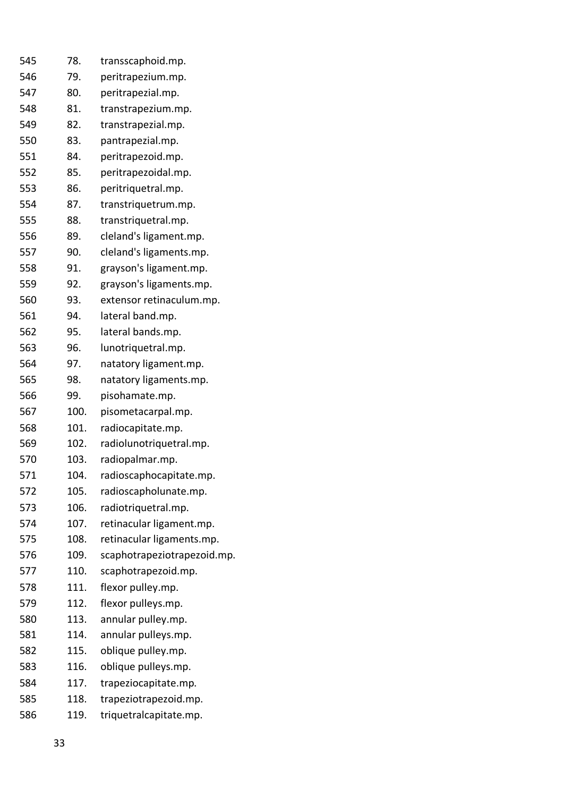| 545 | 78.  | transscaphoid.mp.           |
|-----|------|-----------------------------|
| 546 | 79.  | peritrapezium.mp.           |
| 547 | 80.  | peritrapezial.mp.           |
| 548 | 81.  | transtrapezium.mp.          |
| 549 | 82.  | transtrapezial.mp.          |
| 550 | 83.  | pantrapezial.mp.            |
| 551 | 84.  | peritrapezoid.mp.           |
| 552 | 85.  | peritrapezoidal.mp.         |
| 553 | 86.  | peritriquetral.mp.          |
| 554 | 87.  | transtriquetrum.mp.         |
| 555 | 88.  | transtriquetral.mp.         |
| 556 | 89.  | cleland's ligament.mp.      |
| 557 | 90.  | cleland's ligaments.mp.     |
| 558 | 91.  | grayson's ligament.mp.      |
| 559 | 92.  | grayson's ligaments.mp.     |
| 560 | 93.  | extensor retinaculum.mp.    |
| 561 | 94.  | lateral band.mp.            |
| 562 | 95.  | lateral bands.mp.           |
| 563 | 96.  | lunotriquetral.mp.          |
| 564 | 97.  | natatory ligament.mp.       |
| 565 | 98.  | natatory ligaments.mp.      |
| 566 | 99.  | pisohamate.mp.              |
| 567 | 100. | pisometacarpal.mp.          |
| 568 | 101. | radiocapitate.mp.           |
| 569 | 102. | radiolunotriquetral.mp.     |
| 570 | 103. | radiopalmar.mp.             |
| 571 | 104. | radioscaphocapitate.mp.     |
| 572 | 105. | radioscapholunate.mp.       |
| 573 | 106. | radiotriquetral.mp.         |
| 574 | 107. | retinacular ligament.mp.    |
| 575 | 108. | retinacular ligaments.mp.   |
| 576 | 109. | scaphotrapeziotrapezoid.mp. |
| 577 | 110. | scaphotrapezoid.mp.         |
| 578 | 111. | flexor pulley.mp.           |
| 579 | 112. | flexor pulleys.mp.          |
| 580 | 113. | annular pulley.mp.          |
| 581 | 114. | annular pulleys.mp.         |
| 582 | 115. | oblique pulley.mp.          |
| 583 | 116. | oblique pulleys.mp.         |
| 584 | 117. | trapeziocapitate.mp.        |
| 585 | 118. | trapeziotrapezoid.mp.       |
| 586 | 119. | triquetralcapitate.mp.      |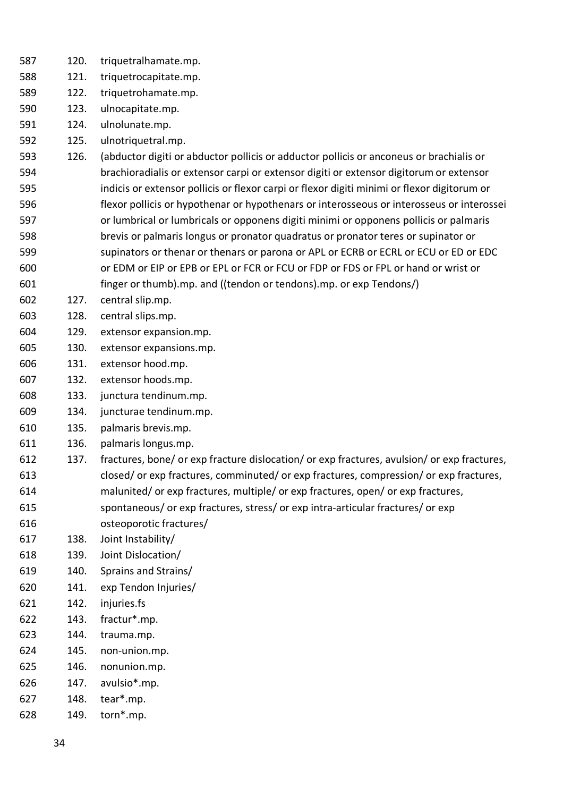- 120. triquetralhamate.mp.
- 121. triquetrocapitate.mp.
- 122. triquetrohamate.mp.
- 123. ulnocapitate.mp.
- 124. ulnolunate.mp.
- 125. ulnotriquetral.mp.
- 126. (abductor digiti or abductor pollicis or adductor pollicis or anconeus or brachialis or brachioradialis or extensor carpi or extensor digiti or extensor digitorum or extensor indicis or extensor pollicis or flexor carpi or flexor digiti minimi or flexor digitorum or flexor pollicis or hypothenar or hypothenars or interosseous or interosseus or interossei or lumbrical or lumbricals or opponens digiti minimi or opponens pollicis or palmaris brevis or palmaris longus or pronator quadratus or pronator teres or supinator or supinators or thenar or thenars or parona or APL or ECRB or ECRL or ECU or ED or EDC or EDM or EIP or EPB or EPL or FCR or FCU or FDP or FDS or FPL or hand or wrist or
- finger or thumb).mp. and ((tendon or tendons).mp. or exp Tendons/)
- 127. central slip.mp.
- 128. central slips.mp.
- 129. extensor expansion.mp.
- 130. extensor expansions.mp.
- 131. extensor hood.mp.
- 132. extensor hoods.mp.
- 133. junctura tendinum.mp.
- 134. juncturae tendinum.mp.
- 135. palmaris brevis.mp.
- 136. palmaris longus.mp.
- 137. fractures, bone/ or exp fracture dislocation/ or exp fractures, avulsion/ or exp fractures, closed/ or exp fractures, comminuted/ or exp fractures, compression/ or exp fractures, malunited/ or exp fractures, multiple/ or exp fractures, open/ or exp fractures,
- spontaneous/ or exp fractures, stress/ or exp intra-articular fractures/ or exp
- osteoporotic fractures/
- 138. Joint Instability/
- 139. Joint Dislocation/
- 140. Sprains and Strains/
- 141. exp Tendon Injuries/
- 142. injuries.fs
- 143. fractur\*.mp.
- 144. trauma.mp.
- 145. non-union.mp.
- 146. nonunion.mp.
- 147. avulsio\*.mp.
- 148. tear\*.mp.
- 149. torn\*.mp.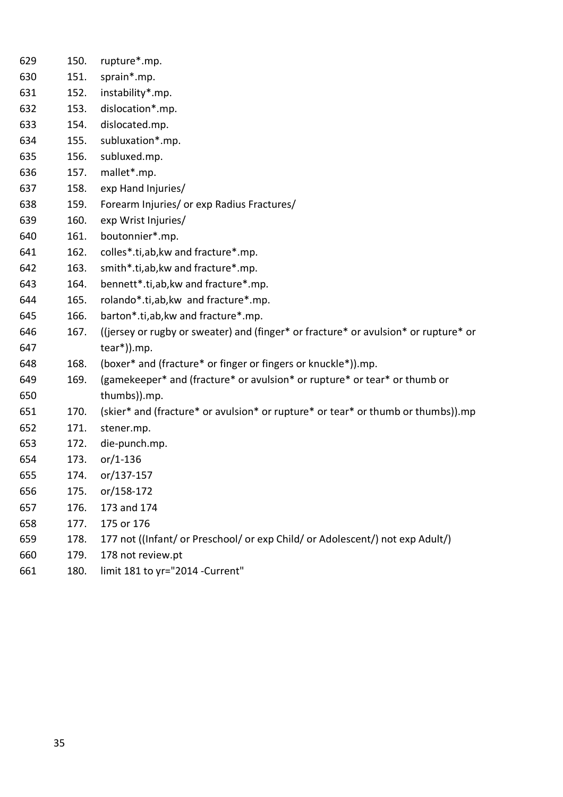| 629 | 150. | rupture*.mp.                                                                        |
|-----|------|-------------------------------------------------------------------------------------|
| 630 | 151. | sprain*.mp.                                                                         |
| 631 | 152. | instability*.mp.                                                                    |
| 632 | 153. | dislocation*.mp.                                                                    |
| 633 | 154. | dislocated.mp.                                                                      |
| 634 | 155. | subluxation*.mp.                                                                    |
| 635 | 156. | subluxed.mp.                                                                        |
| 636 | 157. | mallet*.mp.                                                                         |
| 637 | 158. | exp Hand Injuries/                                                                  |
| 638 | 159. | Forearm Injuries/ or exp Radius Fractures/                                          |
| 639 | 160. | exp Wrist Injuries/                                                                 |
| 640 | 161. | boutonnier*.mp.                                                                     |
| 641 | 162. | colles*.ti,ab,kw and fracture*.mp.                                                  |
| 642 | 163. | smith*.ti,ab, kw and fracture*.mp.                                                  |
| 643 | 164. | bennett*.ti,ab, kw and fracture*.mp.                                                |
| 644 | 165. | rolando*.ti,ab, kw and fracture*.mp.                                                |
| 645 | 166. | barton*.ti, ab, kw and fracture*.mp.                                                |
| 646 | 167. | ((jersey or rugby or sweater) and (finger* or fracture* or avulsion* or rupture* or |
| 647 |      | $tear*)$ ).mp.                                                                      |
| 648 | 168. | (boxer* and (fracture* or finger or fingers or knuckle*)).mp.                       |
| 649 | 169. | (gamekeeper* and (fracture* or avulsion* or rupture* or tear* or thumb or           |
| 650 |      | thumbs)).mp.                                                                        |
| 651 | 170. | (skier* and (fracture* or avulsion* or rupture* or tear* or thumb or thumbs)).mp    |
| 652 | 171. | stener.mp.                                                                          |
| 653 | 172. | die-punch.mp.                                                                       |
| 654 | 173. | $or/1-136$                                                                          |
| 655 | 174. | or/137-157                                                                          |
| 656 | 175. | or/158-172                                                                          |
| 657 | 176. | 173 and 174                                                                         |
| 658 | 177. | 175 or 176                                                                          |
| 659 | 178. | 177 not ((Infant/ or Preschool/ or exp Child/ or Adolescent/) not exp Adult/)       |
| 660 | 179. | 178 not review.pt                                                                   |
| 661 | 180. | limit 181 to yr="2014 -Current"                                                     |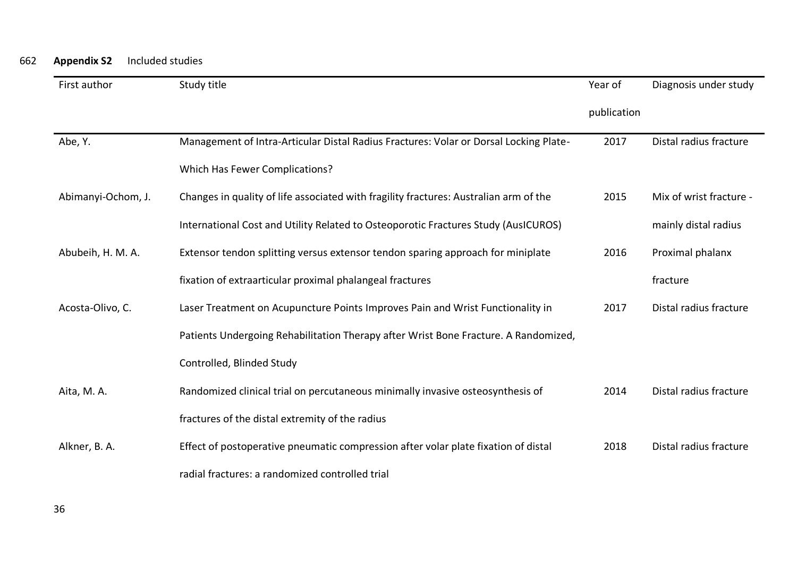| First author       | Study title                                                                           | Year of     | Diagnosis under study   |
|--------------------|---------------------------------------------------------------------------------------|-------------|-------------------------|
|                    |                                                                                       | publication |                         |
| Abe, Y.            | Management of Intra-Articular Distal Radius Fractures: Volar or Dorsal Locking Plate- | 2017        | Distal radius fracture  |
|                    | <b>Which Has Fewer Complications?</b>                                                 |             |                         |
| Abimanyi-Ochom, J. | Changes in quality of life associated with fragility fractures: Australian arm of the | 2015        | Mix of wrist fracture - |
|                    | International Cost and Utility Related to Osteoporotic Fractures Study (AusICUROS)    |             | mainly distal radius    |
| Abubeih, H. M. A.  | Extensor tendon splitting versus extensor tendon sparing approach for miniplate       | 2016        | Proximal phalanx        |
|                    | fixation of extraarticular proximal phalangeal fractures                              |             | fracture                |
| Acosta-Olivo, C.   | Laser Treatment on Acupuncture Points Improves Pain and Wrist Functionality in        | 2017        | Distal radius fracture  |
|                    | Patients Undergoing Rehabilitation Therapy after Wrist Bone Fracture. A Randomized,   |             |                         |
|                    | Controlled, Blinded Study                                                             |             |                         |
| Aita, M. A.        | Randomized clinical trial on percutaneous minimally invasive osteosynthesis of        | 2014        | Distal radius fracture  |
|                    | fractures of the distal extremity of the radius                                       |             |                         |
| Alkner, B. A.      | Effect of postoperative pneumatic compression after volar plate fixation of distal    | 2018        | Distal radius fracture  |
|                    | radial fractures: a randomized controlled trial                                       |             |                         |

662 **Appendix S2** Included studies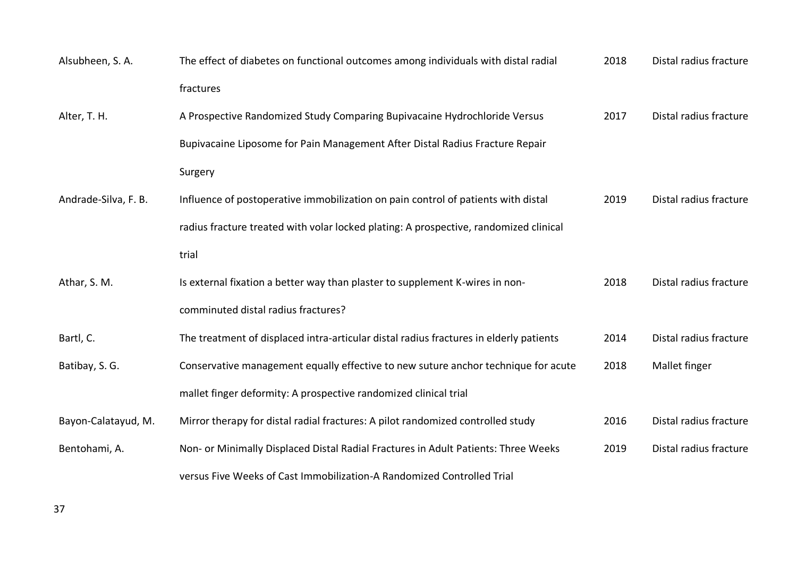| Alsubheen, S.A.      | The effect of diabetes on functional outcomes among individuals with distal radial     | 2018 | Distal radius fracture |
|----------------------|----------------------------------------------------------------------------------------|------|------------------------|
|                      | fractures                                                                              |      |                        |
| Alter, T. H.         | A Prospective Randomized Study Comparing Bupivacaine Hydrochloride Versus              | 2017 | Distal radius fracture |
|                      | Bupivacaine Liposome for Pain Management After Distal Radius Fracture Repair           |      |                        |
|                      | Surgery                                                                                |      |                        |
| Andrade-Silva, F. B. | Influence of postoperative immobilization on pain control of patients with distal      | 2019 | Distal radius fracture |
|                      | radius fracture treated with volar locked plating: A prospective, randomized clinical  |      |                        |
|                      | trial                                                                                  |      |                        |
| Athar, S. M.         | Is external fixation a better way than plaster to supplement K-wires in non-           | 2018 | Distal radius fracture |
|                      | comminuted distal radius fractures?                                                    |      |                        |
| Bartl, C.            | The treatment of displaced intra-articular distal radius fractures in elderly patients | 2014 | Distal radius fracture |
| Batibay, S. G.       | Conservative management equally effective to new suture anchor technique for acute     | 2018 | Mallet finger          |
|                      | mallet finger deformity: A prospective randomized clinical trial                       |      |                        |
| Bayon-Calatayud, M.  | Mirror therapy for distal radial fractures: A pilot randomized controlled study        | 2016 | Distal radius fracture |
| Bentohami, A.        | Non- or Minimally Displaced Distal Radial Fractures in Adult Patients: Three Weeks     | 2019 | Distal radius fracture |
|                      | versus Five Weeks of Cast Immobilization-A Randomized Controlled Trial                 |      |                        |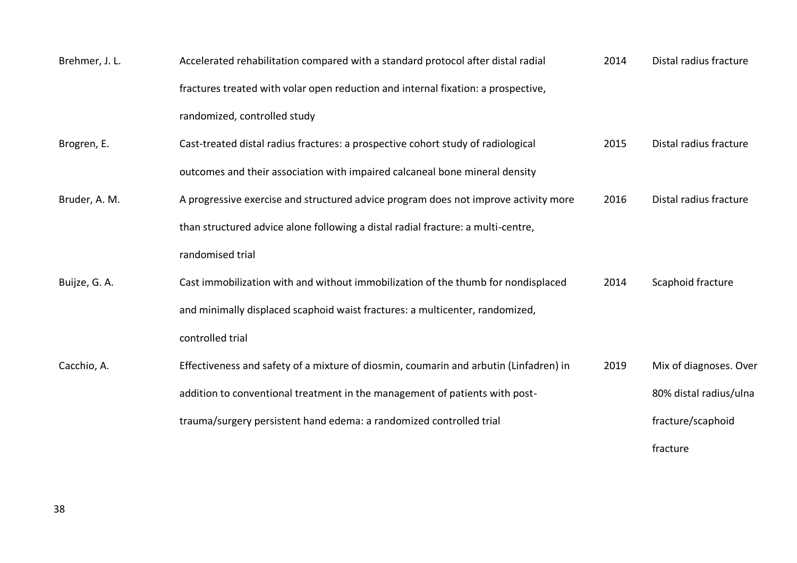| Brehmer, J. L. | Accelerated rehabilitation compared with a standard protocol after distal radial      | 2014 | Distal radius fracture |
|----------------|---------------------------------------------------------------------------------------|------|------------------------|
|                | fractures treated with volar open reduction and internal fixation: a prospective,     |      |                        |
|                | randomized, controlled study                                                          |      |                        |
| Brogren, E.    | Cast-treated distal radius fractures: a prospective cohort study of radiological      | 2015 | Distal radius fracture |
|                | outcomes and their association with impaired calcaneal bone mineral density           |      |                        |
| Bruder, A. M.  | A progressive exercise and structured advice program does not improve activity more   | 2016 | Distal radius fracture |
|                | than structured advice alone following a distal radial fracture: a multi-centre,      |      |                        |
|                | randomised trial                                                                      |      |                        |
| Buijze, G. A.  | Cast immobilization with and without immobilization of the thumb for nondisplaced     | 2014 | Scaphoid fracture      |
|                | and minimally displaced scaphoid waist fractures: a multicenter, randomized,          |      |                        |
|                | controlled trial                                                                      |      |                        |
| Cacchio, A.    | Effectiveness and safety of a mixture of diosmin, coumarin and arbutin (Linfadren) in | 2019 | Mix of diagnoses. Over |
|                | addition to conventional treatment in the management of patients with post-           |      | 80% distal radius/ulna |
|                | trauma/surgery persistent hand edema: a randomized controlled trial                   |      | fracture/scaphoid      |
|                |                                                                                       |      | fracture               |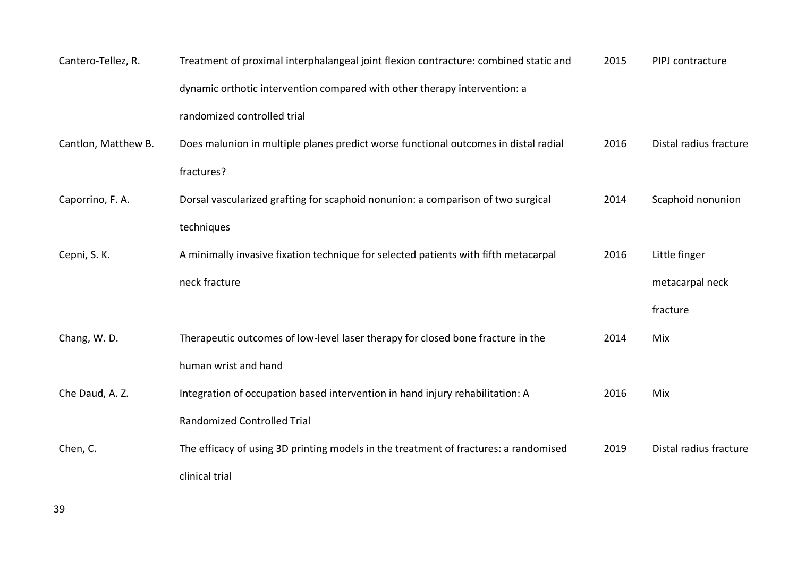| Cantero-Tellez, R.  | Treatment of proximal interphalangeal joint flexion contracture: combined static and | 2015 | PIPJ contracture       |
|---------------------|--------------------------------------------------------------------------------------|------|------------------------|
|                     | dynamic orthotic intervention compared with other therapy intervention: a            |      |                        |
|                     | randomized controlled trial                                                          |      |                        |
| Cantlon, Matthew B. | Does malunion in multiple planes predict worse functional outcomes in distal radial  | 2016 | Distal radius fracture |
|                     | fractures?                                                                           |      |                        |
| Caporrino, F. A.    | Dorsal vascularized grafting for scaphoid nonunion: a comparison of two surgical     | 2014 | Scaphoid nonunion      |
|                     | techniques                                                                           |      |                        |
| Cepni, S. K.        | A minimally invasive fixation technique for selected patients with fifth metacarpal  | 2016 | Little finger          |
|                     | neck fracture                                                                        |      | metacarpal neck        |
|                     |                                                                                      |      | fracture               |
| Chang, W.D.         | Therapeutic outcomes of low-level laser therapy for closed bone fracture in the      | 2014 | Mix                    |
|                     | human wrist and hand                                                                 |      |                        |
| Che Daud, A. Z.     | Integration of occupation based intervention in hand injury rehabilitation: A        | 2016 | Mix                    |
|                     | <b>Randomized Controlled Trial</b>                                                   |      |                        |
| Chen, C.            | The efficacy of using 3D printing models in the treatment of fractures: a randomised | 2019 | Distal radius fracture |
|                     | clinical trial                                                                       |      |                        |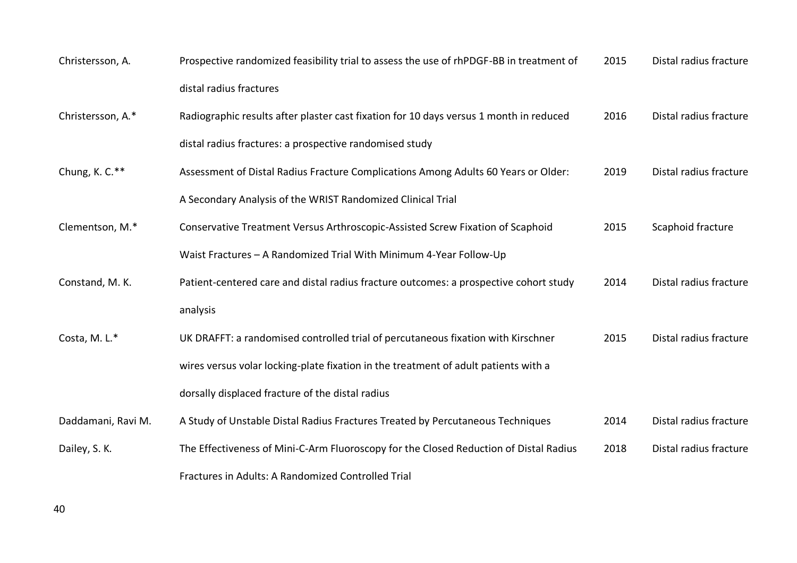| Christersson, A.   | Prospective randomized feasibility trial to assess the use of rhPDGF-BB in treatment of | 2015 | Distal radius fracture |
|--------------------|-----------------------------------------------------------------------------------------|------|------------------------|
|                    | distal radius fractures                                                                 |      |                        |
| Christersson, A.*  | Radiographic results after plaster cast fixation for 10 days versus 1 month in reduced  | 2016 | Distal radius fracture |
|                    | distal radius fractures: a prospective randomised study                                 |      |                        |
| Chung, K. C.**     | Assessment of Distal Radius Fracture Complications Among Adults 60 Years or Older:      | 2019 | Distal radius fracture |
|                    | A Secondary Analysis of the WRIST Randomized Clinical Trial                             |      |                        |
| Clementson, M.*    | Conservative Treatment Versus Arthroscopic-Assisted Screw Fixation of Scaphoid          | 2015 | Scaphoid fracture      |
|                    | Waist Fractures - A Randomized Trial With Minimum 4-Year Follow-Up                      |      |                        |
| Constand, M. K.    | Patient-centered care and distal radius fracture outcomes: a prospective cohort study   | 2014 | Distal radius fracture |
|                    | analysis                                                                                |      |                        |
| Costa, M.L.*       | UK DRAFFT: a randomised controlled trial of percutaneous fixation with Kirschner        | 2015 | Distal radius fracture |
|                    | wires versus volar locking-plate fixation in the treatment of adult patients with a     |      |                        |
|                    | dorsally displaced fracture of the distal radius                                        |      |                        |
| Daddamani, Ravi M. | A Study of Unstable Distal Radius Fractures Treated by Percutaneous Techniques          | 2014 | Distal radius fracture |
| Dailey, S. K.      | The Effectiveness of Mini-C-Arm Fluoroscopy for the Closed Reduction of Distal Radius   | 2018 | Distal radius fracture |
|                    | Fractures in Adults: A Randomized Controlled Trial                                      |      |                        |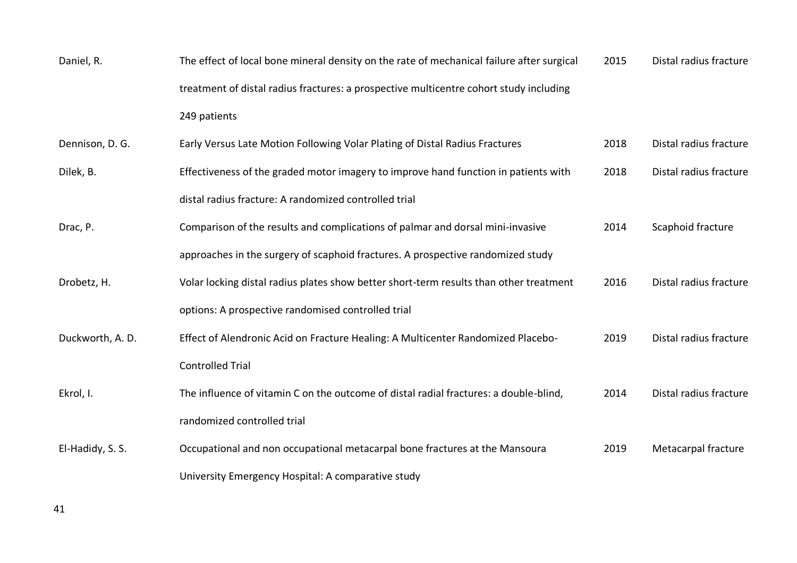| Daniel, R.       | The effect of local bone mineral density on the rate of mechanical failure after surgical | 2015 | Distal radius fracture |
|------------------|-------------------------------------------------------------------------------------------|------|------------------------|
|                  | treatment of distal radius fractures: a prospective multicentre cohort study including    |      |                        |
|                  | 249 patients                                                                              |      |                        |
| Dennison, D. G.  | Early Versus Late Motion Following Volar Plating of Distal Radius Fractures               | 2018 | Distal radius fracture |
| Dilek, B.        | Effectiveness of the graded motor imagery to improve hand function in patients with       | 2018 | Distal radius fracture |
|                  | distal radius fracture: A randomized controlled trial                                     |      |                        |
| Drac, P.         | Comparison of the results and complications of palmar and dorsal mini-invasive            | 2014 | Scaphoid fracture      |
|                  | approaches in the surgery of scaphoid fractures. A prospective randomized study           |      |                        |
| Drobetz, H.      | Volar locking distal radius plates show better short-term results than other treatment    | 2016 | Distal radius fracture |
|                  | options: A prospective randomised controlled trial                                        |      |                        |
| Duckworth, A. D. | Effect of Alendronic Acid on Fracture Healing: A Multicenter Randomized Placebo-          | 2019 | Distal radius fracture |
|                  | <b>Controlled Trial</b>                                                                   |      |                        |
| Ekrol, I.        | The influence of vitamin C on the outcome of distal radial fractures: a double-blind,     | 2014 | Distal radius fracture |
|                  | randomized controlled trial                                                               |      |                        |
| El-Hadidy, S. S. | Occupational and non occupational metacarpal bone fractures at the Mansoura               | 2019 | Metacarpal fracture    |
|                  | University Emergency Hospital: A comparative study                                        |      |                        |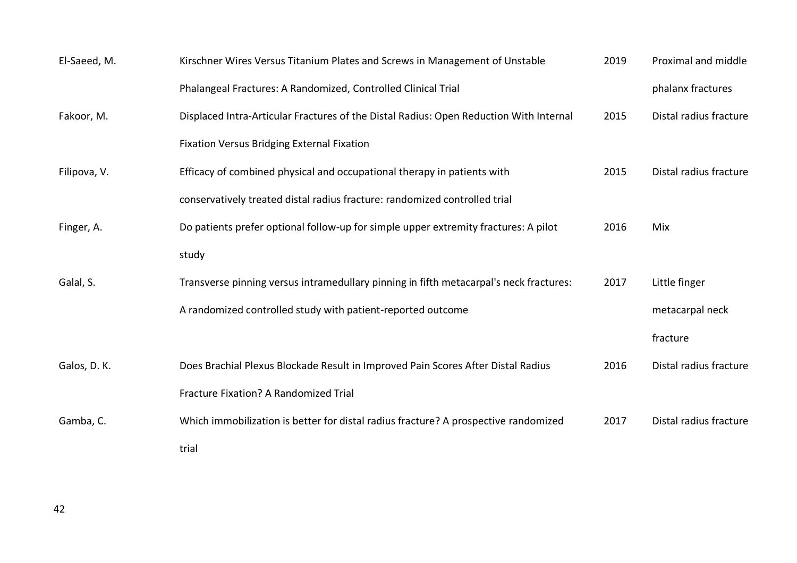| El-Saeed, M. | Kirschner Wires Versus Titanium Plates and Screws in Management of Unstable            | 2019 | Proximal and middle    |
|--------------|----------------------------------------------------------------------------------------|------|------------------------|
|              | Phalangeal Fractures: A Randomized, Controlled Clinical Trial                          |      | phalanx fractures      |
| Fakoor, M.   | Displaced Intra-Articular Fractures of the Distal Radius: Open Reduction With Internal | 2015 | Distal radius fracture |
|              | <b>Fixation Versus Bridging External Fixation</b>                                      |      |                        |
| Filipova, V. | Efficacy of combined physical and occupational therapy in patients with                | 2015 | Distal radius fracture |
|              | conservatively treated distal radius fracture: randomized controlled trial             |      |                        |
| Finger, A.   | Do patients prefer optional follow-up for simple upper extremity fractures: A pilot    | 2016 | Mix                    |
|              | study                                                                                  |      |                        |
| Galal, S.    | Transverse pinning versus intramedullary pinning in fifth metacarpal's neck fractures: | 2017 | Little finger          |
|              | A randomized controlled study with patient-reported outcome                            |      | metacarpal neck        |
|              |                                                                                        |      | fracture               |
| Galos, D. K. | Does Brachial Plexus Blockade Result in Improved Pain Scores After Distal Radius       | 2016 | Distal radius fracture |
|              | Fracture Fixation? A Randomized Trial                                                  |      |                        |
| Gamba, C.    | Which immobilization is better for distal radius fracture? A prospective randomized    | 2017 | Distal radius fracture |
|              | trial                                                                                  |      |                        |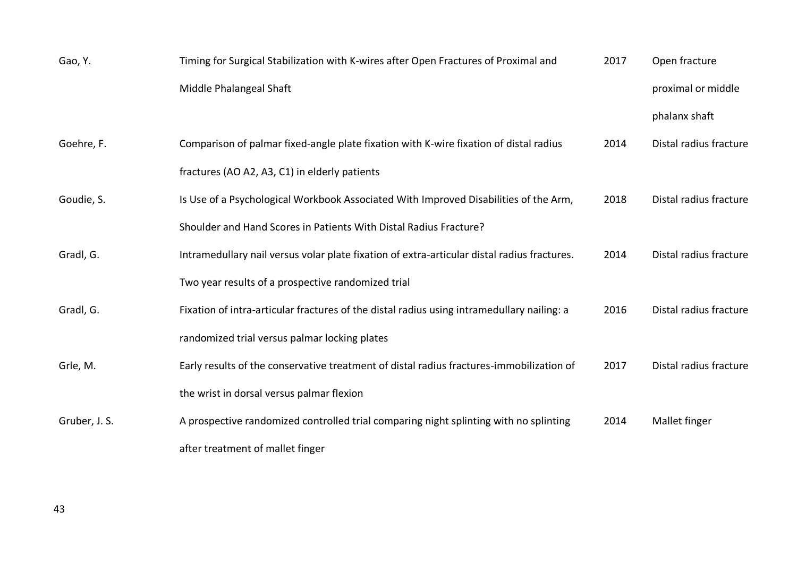| Gao, Y.       | Timing for Surgical Stabilization with K-wires after Open Fractures of Proximal and         | 2017 | Open fracture          |
|---------------|---------------------------------------------------------------------------------------------|------|------------------------|
|               | Middle Phalangeal Shaft                                                                     |      | proximal or middle     |
|               |                                                                                             |      | phalanx shaft          |
| Goehre, F.    | Comparison of palmar fixed-angle plate fixation with K-wire fixation of distal radius       | 2014 | Distal radius fracture |
|               | fractures (AO A2, A3, C1) in elderly patients                                               |      |                        |
| Goudie, S.    | Is Use of a Psychological Workbook Associated With Improved Disabilities of the Arm,        | 2018 | Distal radius fracture |
|               | Shoulder and Hand Scores in Patients With Distal Radius Fracture?                           |      |                        |
| Gradl, G.     | Intramedullary nail versus volar plate fixation of extra-articular distal radius fractures. | 2014 | Distal radius fracture |
|               | Two year results of a prospective randomized trial                                          |      |                        |
| Gradl, G.     | Fixation of intra-articular fractures of the distal radius using intramedullary nailing: a  | 2016 | Distal radius fracture |
|               | randomized trial versus palmar locking plates                                               |      |                        |
| Grle, M.      | Early results of the conservative treatment of distal radius fractures-immobilization of    | 2017 | Distal radius fracture |
|               | the wrist in dorsal versus palmar flexion                                                   |      |                        |
| Gruber, J. S. | A prospective randomized controlled trial comparing night splinting with no splinting       | 2014 | Mallet finger          |
|               | after treatment of mallet finger                                                            |      |                        |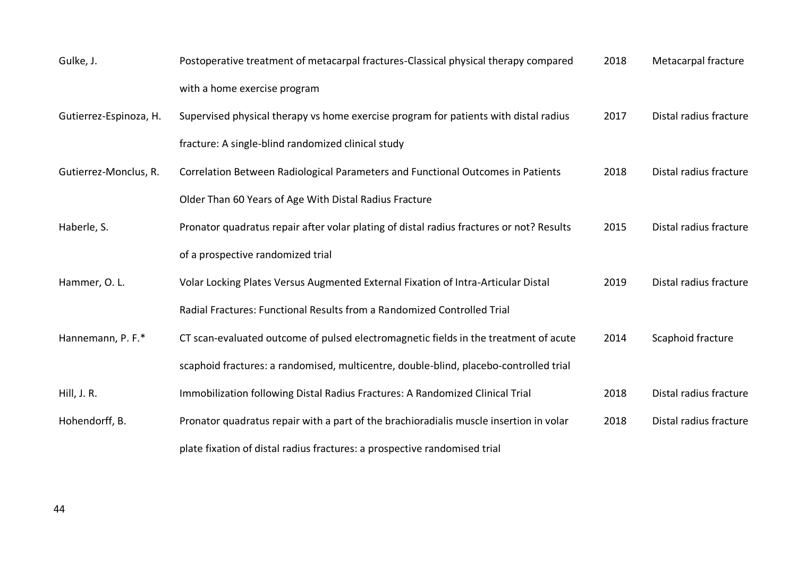| Gulke, J.              | Postoperative treatment of metacarpal fractures-Classical physical therapy compared      | 2018 | Metacarpal fracture    |
|------------------------|------------------------------------------------------------------------------------------|------|------------------------|
|                        | with a home exercise program                                                             |      |                        |
| Gutierrez-Espinoza, H. | Supervised physical therapy vs home exercise program for patients with distal radius     | 2017 | Distal radius fracture |
|                        | fracture: A single-blind randomized clinical study                                       |      |                        |
| Gutierrez-Monclus, R.  | Correlation Between Radiological Parameters and Functional Outcomes in Patients          | 2018 | Distal radius fracture |
|                        | Older Than 60 Years of Age With Distal Radius Fracture                                   |      |                        |
| Haberle, S.            | Pronator quadratus repair after volar plating of distal radius fractures or not? Results | 2015 | Distal radius fracture |
|                        | of a prospective randomized trial                                                        |      |                        |
| Hammer, O.L.           | Volar Locking Plates Versus Augmented External Fixation of Intra-Articular Distal        | 2019 | Distal radius fracture |
|                        | Radial Fractures: Functional Results from a Randomized Controlled Trial                  |      |                        |
| Hannemann, P. F.*      | CT scan-evaluated outcome of pulsed electromagnetic fields in the treatment of acute     | 2014 | Scaphoid fracture      |
|                        | scaphoid fractures: a randomised, multicentre, double-blind, placebo-controlled trial    |      |                        |
| Hill, J. R.            | Immobilization following Distal Radius Fractures: A Randomized Clinical Trial            | 2018 | Distal radius fracture |
| Hohendorff, B.         | Pronator quadratus repair with a part of the brachioradialis muscle insertion in volar   | 2018 | Distal radius fracture |
|                        | plate fixation of distal radius fractures: a prospective randomised trial                |      |                        |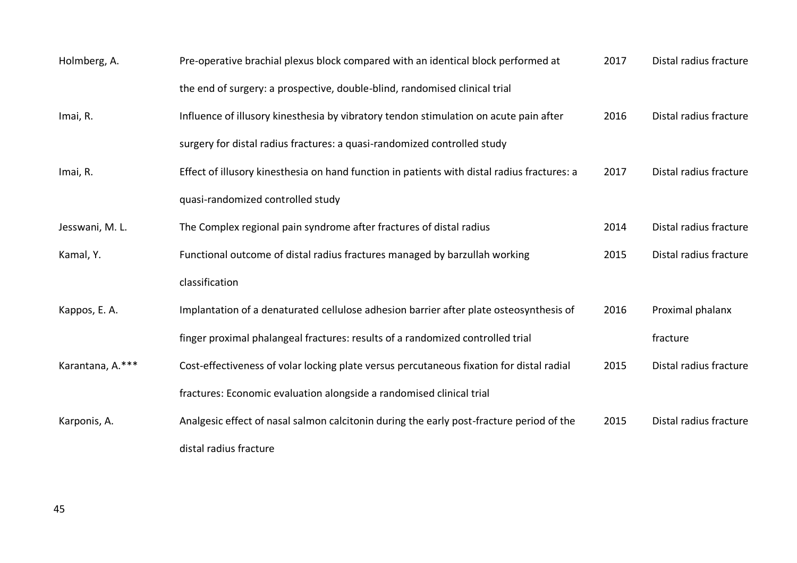| Holmberg, A.     | Pre-operative brachial plexus block compared with an identical block performed at           | 2017 | Distal radius fracture |
|------------------|---------------------------------------------------------------------------------------------|------|------------------------|
|                  | the end of surgery: a prospective, double-blind, randomised clinical trial                  |      |                        |
| Imai, R.         | Influence of illusory kinesthesia by vibratory tendon stimulation on acute pain after       | 2016 | Distal radius fracture |
|                  | surgery for distal radius fractures: a quasi-randomized controlled study                    |      |                        |
| Imai, R.         | Effect of illusory kinesthesia on hand function in patients with distal radius fractures: a | 2017 | Distal radius fracture |
|                  | quasi-randomized controlled study                                                           |      |                        |
| Jesswani, M. L.  | The Complex regional pain syndrome after fractures of distal radius                         | 2014 | Distal radius fracture |
| Kamal, Y.        | Functional outcome of distal radius fractures managed by barzullah working                  | 2015 | Distal radius fracture |
|                  | classification                                                                              |      |                        |
| Kappos, E. A.    | Implantation of a denaturated cellulose adhesion barrier after plate osteosynthesis of      | 2016 | Proximal phalanx       |
|                  | finger proximal phalangeal fractures: results of a randomized controlled trial              |      | fracture               |
| Karantana, A.*** | Cost-effectiveness of volar locking plate versus percutaneous fixation for distal radial    | 2015 | Distal radius fracture |
|                  | fractures: Economic evaluation alongside a randomised clinical trial                        |      |                        |
| Karponis, A.     | Analgesic effect of nasal salmon calcitonin during the early post-fracture period of the    | 2015 | Distal radius fracture |
|                  | distal radius fracture                                                                      |      |                        |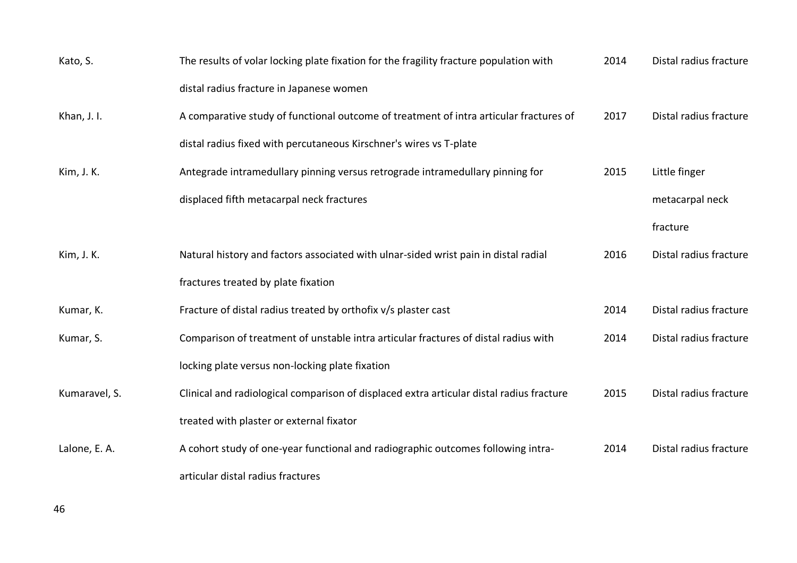| Kato, S.      | The results of volar locking plate fixation for the fragility fracture population with   | 2014 | Distal radius fracture |
|---------------|------------------------------------------------------------------------------------------|------|------------------------|
|               | distal radius fracture in Japanese women                                                 |      |                        |
| Khan, J. I.   | A comparative study of functional outcome of treatment of intra articular fractures of   | 2017 | Distal radius fracture |
|               | distal radius fixed with percutaneous Kirschner's wires vs T-plate                       |      |                        |
| Kim, J. K.    | Antegrade intramedullary pinning versus retrograde intramedullary pinning for            | 2015 | Little finger          |
|               | displaced fifth metacarpal neck fractures                                                |      | metacarpal neck        |
|               |                                                                                          |      | fracture               |
| Kim, J. K.    | Natural history and factors associated with ulnar-sided wrist pain in distal radial      | 2016 | Distal radius fracture |
|               | fractures treated by plate fixation                                                      |      |                        |
| Kumar, K.     | Fracture of distal radius treated by orthofix v/s plaster cast                           | 2014 | Distal radius fracture |
| Kumar, S.     | Comparison of treatment of unstable intra articular fractures of distal radius with      | 2014 | Distal radius fracture |
|               | locking plate versus non-locking plate fixation                                          |      |                        |
| Kumaravel, S. | Clinical and radiological comparison of displaced extra articular distal radius fracture | 2015 | Distal radius fracture |
|               | treated with plaster or external fixator                                                 |      |                        |
| Lalone, E. A. | A cohort study of one-year functional and radiographic outcomes following intra-         | 2014 | Distal radius fracture |
|               | articular distal radius fractures                                                        |      |                        |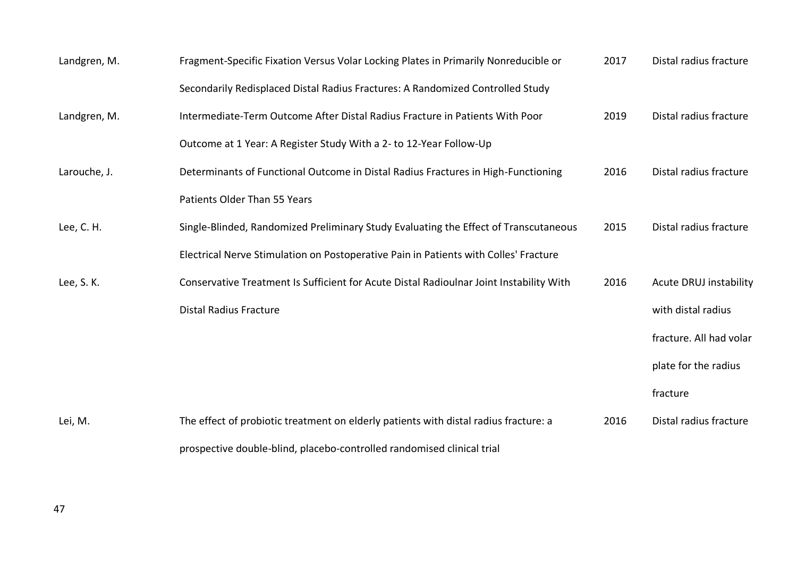| Landgren, M. | Fragment-Specific Fixation Versus Volar Locking Plates in Primarily Nonreducible or     | 2017 | Distal radius fracture        |
|--------------|-----------------------------------------------------------------------------------------|------|-------------------------------|
|              | Secondarily Redisplaced Distal Radius Fractures: A Randomized Controlled Study          |      |                               |
| Landgren, M. | Intermediate-Term Outcome After Distal Radius Fracture in Patients With Poor            | 2019 | Distal radius fracture        |
|              | Outcome at 1 Year: A Register Study With a 2- to 12-Year Follow-Up                      |      |                               |
| Larouche, J. | Determinants of Functional Outcome in Distal Radius Fractures in High-Functioning       | 2016 | Distal radius fracture        |
|              | Patients Older Than 55 Years                                                            |      |                               |
| Lee, C. H.   | Single-Blinded, Randomized Preliminary Study Evaluating the Effect of Transcutaneous    | 2015 | Distal radius fracture        |
|              | Electrical Nerve Stimulation on Postoperative Pain in Patients with Colles' Fracture    |      |                               |
| Lee, S. K.   | Conservative Treatment Is Sufficient for Acute Distal Radioulnar Joint Instability With | 2016 | <b>Acute DRUJ instability</b> |
|              | <b>Distal Radius Fracture</b>                                                           |      | with distal radius            |
|              |                                                                                         |      | fracture. All had volar       |
|              |                                                                                         |      | plate for the radius          |
|              |                                                                                         |      | fracture                      |
| Lei, M.      | The effect of probiotic treatment on elderly patients with distal radius fracture: a    | 2016 | Distal radius fracture        |
|              | prospective double-blind, placebo-controlled randomised clinical trial                  |      |                               |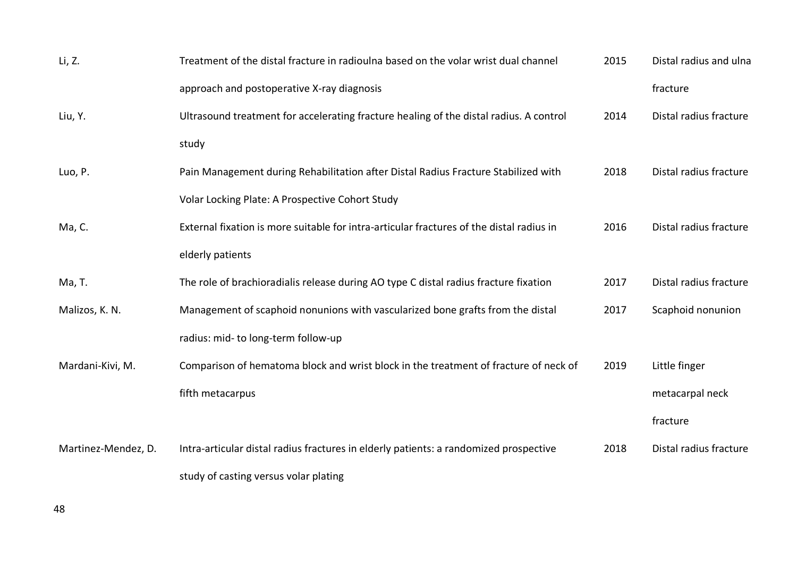| Li, Z.              | Treatment of the distal fracture in radioulna based on the volar wrist dual channel      | 2015 | Distal radius and ulna |
|---------------------|------------------------------------------------------------------------------------------|------|------------------------|
|                     | approach and postoperative X-ray diagnosis                                               |      | fracture               |
| Liu, Y.             | Ultrasound treatment for accelerating fracture healing of the distal radius. A control   | 2014 | Distal radius fracture |
|                     | study                                                                                    |      |                        |
| Luo, P.             | Pain Management during Rehabilitation after Distal Radius Fracture Stabilized with       | 2018 | Distal radius fracture |
|                     | Volar Locking Plate: A Prospective Cohort Study                                          |      |                        |
| Ma, C.              | External fixation is more suitable for intra-articular fractures of the distal radius in | 2016 | Distal radius fracture |
|                     | elderly patients                                                                         |      |                        |
| Ma, T.              | The role of brachioradialis release during AO type C distal radius fracture fixation     | 2017 | Distal radius fracture |
| Malizos, K. N.      | Management of scaphoid nonunions with vascularized bone grafts from the distal           | 2017 | Scaphoid nonunion      |
|                     | radius: mid- to long-term follow-up                                                      |      |                        |
| Mardani-Kivi, M.    | Comparison of hematoma block and wrist block in the treatment of fracture of neck of     | 2019 | Little finger          |
|                     | fifth metacarpus                                                                         |      | metacarpal neck        |
|                     |                                                                                          |      | fracture               |
| Martinez-Mendez, D. | Intra-articular distal radius fractures in elderly patients: a randomized prospective    | 2018 | Distal radius fracture |
|                     | study of casting versus volar plating                                                    |      |                        |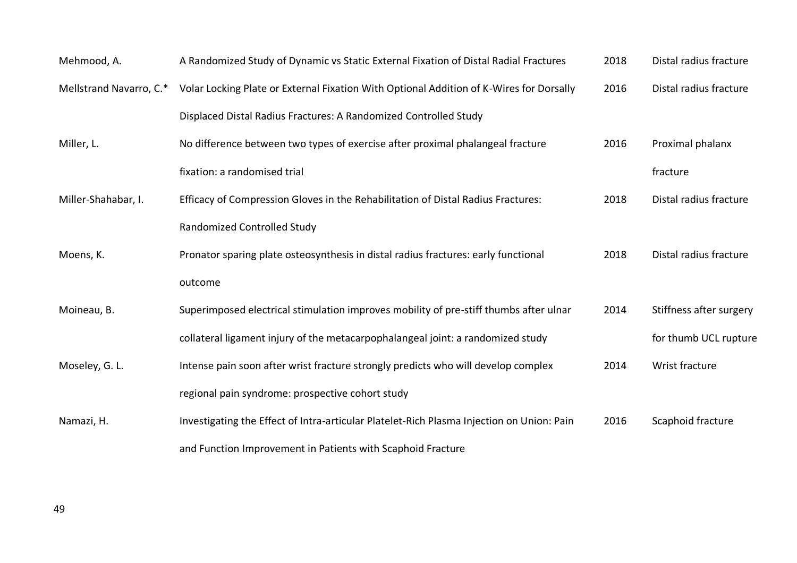| Mehmood, A.             | A Randomized Study of Dynamic vs Static External Fixation of Distal Radial Fractures      | 2018 | Distal radius fracture  |
|-------------------------|-------------------------------------------------------------------------------------------|------|-------------------------|
| Mellstrand Navarro, C.* | Volar Locking Plate or External Fixation With Optional Addition of K-Wires for Dorsally   | 2016 | Distal radius fracture  |
|                         | Displaced Distal Radius Fractures: A Randomized Controlled Study                          |      |                         |
| Miller, L.              | No difference between two types of exercise after proximal phalangeal fracture            | 2016 | Proximal phalanx        |
|                         | fixation: a randomised trial                                                              |      | fracture                |
| Miller-Shahabar, I.     | Efficacy of Compression Gloves in the Rehabilitation of Distal Radius Fractures:          | 2018 | Distal radius fracture  |
|                         | <b>Randomized Controlled Study</b>                                                        |      |                         |
| Moens, K.               | Pronator sparing plate osteosynthesis in distal radius fractures: early functional        | 2018 | Distal radius fracture  |
|                         | outcome                                                                                   |      |                         |
| Moineau, B.             | Superimposed electrical stimulation improves mobility of pre-stiff thumbs after ulnar     | 2014 | Stiffness after surgery |
|                         | collateral ligament injury of the metacarpophalangeal joint: a randomized study           |      | for thumb UCL rupture   |
| Moseley, G. L.          | Intense pain soon after wrist fracture strongly predicts who will develop complex         | 2014 | Wrist fracture          |
|                         | regional pain syndrome: prospective cohort study                                          |      |                         |
| Namazi, H.              | Investigating the Effect of Intra-articular Platelet-Rich Plasma Injection on Union: Pain | 2016 | Scaphoid fracture       |
|                         | and Function Improvement in Patients with Scaphoid Fracture                               |      |                         |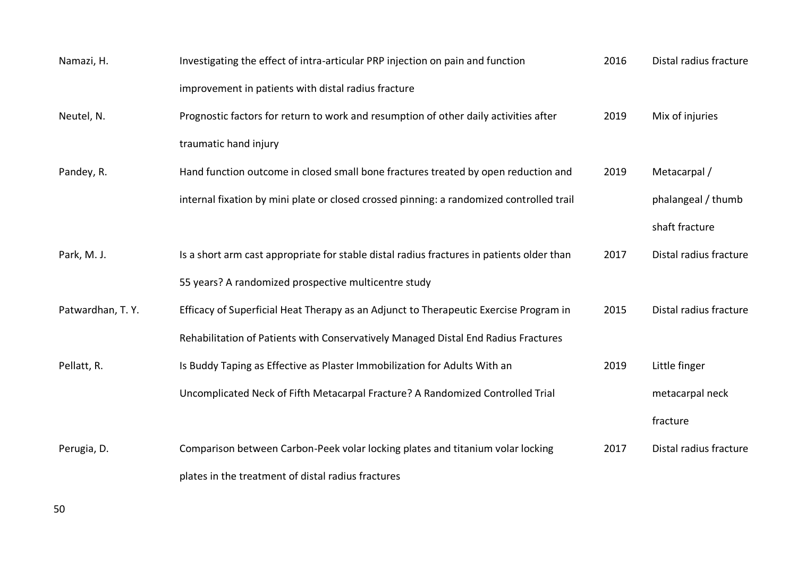| Namazi, H.       | Investigating the effect of intra-articular PRP injection on pain and function            | 2016 | Distal radius fracture |
|------------------|-------------------------------------------------------------------------------------------|------|------------------------|
|                  | improvement in patients with distal radius fracture                                       |      |                        |
| Neutel, N.       | Prognostic factors for return to work and resumption of other daily activities after      | 2019 | Mix of injuries        |
|                  | traumatic hand injury                                                                     |      |                        |
| Pandey, R.       | Hand function outcome in closed small bone fractures treated by open reduction and        | 2019 | Metacarpal /           |
|                  | internal fixation by mini plate or closed crossed pinning: a randomized controlled trail  |      | phalangeal / thumb     |
|                  |                                                                                           |      | shaft fracture         |
| Park, M. J.      | Is a short arm cast appropriate for stable distal radius fractures in patients older than | 2017 | Distal radius fracture |
|                  | 55 years? A randomized prospective multicentre study                                      |      |                        |
| Patwardhan, T.Y. | Efficacy of Superficial Heat Therapy as an Adjunct to Therapeutic Exercise Program in     | 2015 | Distal radius fracture |
|                  | Rehabilitation of Patients with Conservatively Managed Distal End Radius Fractures        |      |                        |
| Pellatt, R.      | Is Buddy Taping as Effective as Plaster Immobilization for Adults With an                 | 2019 | Little finger          |
|                  | Uncomplicated Neck of Fifth Metacarpal Fracture? A Randomized Controlled Trial            |      | metacarpal neck        |
|                  |                                                                                           |      | fracture               |
| Perugia, D.      | Comparison between Carbon-Peek volar locking plates and titanium volar locking            | 2017 | Distal radius fracture |
|                  | plates in the treatment of distal radius fractures                                        |      |                        |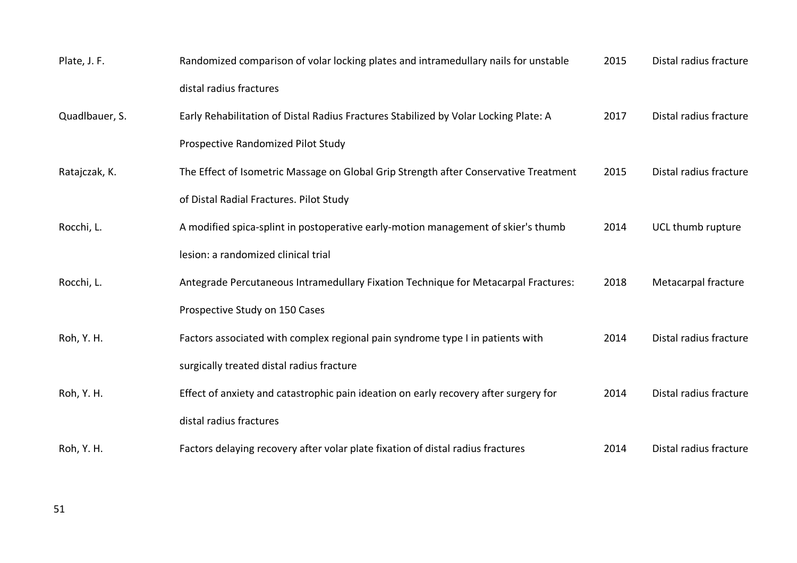| Plate, J. F.   | Randomized comparison of volar locking plates and intramedullary nails for unstable  | 2015 | Distal radius fracture |
|----------------|--------------------------------------------------------------------------------------|------|------------------------|
|                | distal radius fractures                                                              |      |                        |
| Quadlbauer, S. | Early Rehabilitation of Distal Radius Fractures Stabilized by Volar Locking Plate: A | 2017 | Distal radius fracture |
|                | Prospective Randomized Pilot Study                                                   |      |                        |
| Ratajczak, K.  | The Effect of Isometric Massage on Global Grip Strength after Conservative Treatment | 2015 | Distal radius fracture |
|                | of Distal Radial Fractures. Pilot Study                                              |      |                        |
| Rocchi, L.     | A modified spica-splint in postoperative early-motion management of skier's thumb    | 2014 | UCL thumb rupture      |
|                | lesion: a randomized clinical trial                                                  |      |                        |
| Rocchi, L.     | Antegrade Percutaneous Intramedullary Fixation Technique for Metacarpal Fractures:   | 2018 | Metacarpal fracture    |
|                | Prospective Study on 150 Cases                                                       |      |                        |
| Roh, Y. H.     | Factors associated with complex regional pain syndrome type I in patients with       | 2014 | Distal radius fracture |
|                | surgically treated distal radius fracture                                            |      |                        |
| Roh, Y. H.     | Effect of anxiety and catastrophic pain ideation on early recovery after surgery for | 2014 | Distal radius fracture |
|                | distal radius fractures                                                              |      |                        |
| Roh, Y. H.     | Factors delaying recovery after volar plate fixation of distal radius fractures      | 2014 | Distal radius fracture |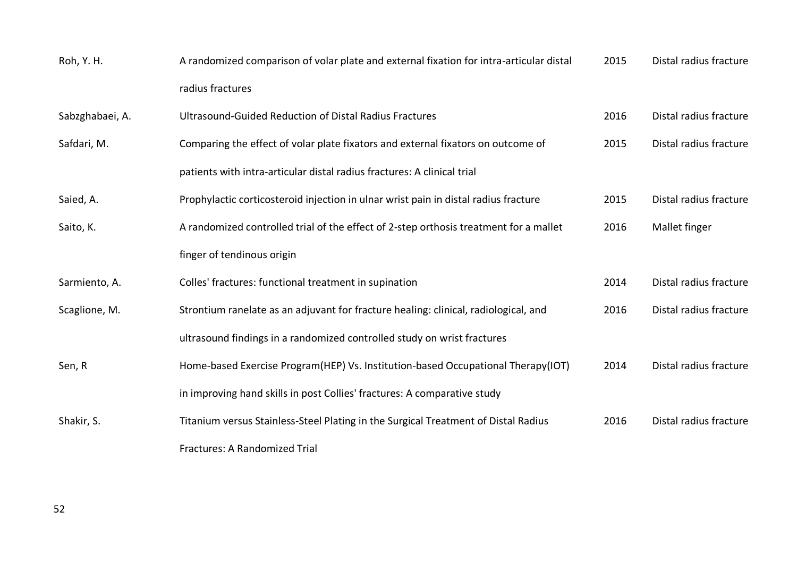| Roh, Y. H.      | A randomized comparison of volar plate and external fixation for intra-articular distal | 2015 | Distal radius fracture |
|-----------------|-----------------------------------------------------------------------------------------|------|------------------------|
|                 | radius fractures                                                                        |      |                        |
| Sabzghabaei, A. | Ultrasound-Guided Reduction of Distal Radius Fractures                                  | 2016 | Distal radius fracture |
| Safdari, M.     | Comparing the effect of volar plate fixators and external fixators on outcome of        | 2015 | Distal radius fracture |
|                 | patients with intra-articular distal radius fractures: A clinical trial                 |      |                        |
| Saied, A.       | Prophylactic corticosteroid injection in ulnar wrist pain in distal radius fracture     | 2015 | Distal radius fracture |
| Saito, K.       | A randomized controlled trial of the effect of 2-step orthosis treatment for a mallet   | 2016 | Mallet finger          |
|                 | finger of tendinous origin                                                              |      |                        |
| Sarmiento, A.   | Colles' fractures: functional treatment in supination                                   | 2014 | Distal radius fracture |
| Scaglione, M.   | Strontium ranelate as an adjuvant for fracture healing: clinical, radiological, and     | 2016 | Distal radius fracture |
|                 | ultrasound findings in a randomized controlled study on wrist fractures                 |      |                        |
| Sen, R          | Home-based Exercise Program(HEP) Vs. Institution-based Occupational Therapy(IOT)        | 2014 | Distal radius fracture |
|                 | in improving hand skills in post Collies' fractures: A comparative study                |      |                        |
| Shakir, S.      | Titanium versus Stainless-Steel Plating in the Surgical Treatment of Distal Radius      | 2016 | Distal radius fracture |
|                 | <b>Fractures: A Randomized Trial</b>                                                    |      |                        |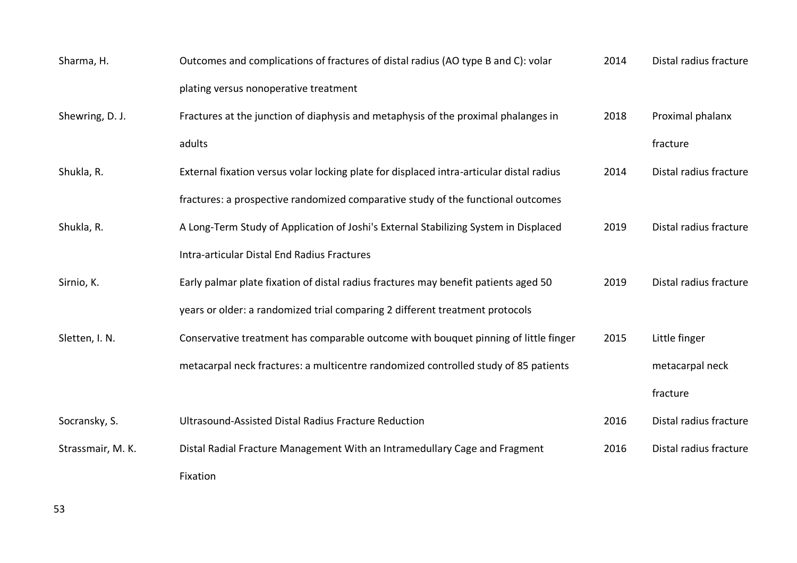| Sharma, H.        | Outcomes and complications of fractures of distal radius (AO type B and C): volar        | 2014 | Distal radius fracture |
|-------------------|------------------------------------------------------------------------------------------|------|------------------------|
|                   | plating versus nonoperative treatment                                                    |      |                        |
| Shewring, D. J.   | Fractures at the junction of diaphysis and metaphysis of the proximal phalanges in       | 2018 | Proximal phalanx       |
|                   | adults                                                                                   |      | fracture               |
| Shukla, R.        | External fixation versus volar locking plate for displaced intra-articular distal radius | 2014 | Distal radius fracture |
|                   | fractures: a prospective randomized comparative study of the functional outcomes         |      |                        |
| Shukla, R.        | A Long-Term Study of Application of Joshi's External Stabilizing System in Displaced     | 2019 | Distal radius fracture |
|                   | Intra-articular Distal End Radius Fractures                                              |      |                        |
| Sirnio, K.        | Early palmar plate fixation of distal radius fractures may benefit patients aged 50      | 2019 | Distal radius fracture |
|                   | years or older: a randomized trial comparing 2 different treatment protocols             |      |                        |
| Sletten, I. N.    | Conservative treatment has comparable outcome with bouquet pinning of little finger      | 2015 | Little finger          |
|                   | metacarpal neck fractures: a multicentre randomized controlled study of 85 patients      |      | metacarpal neck        |
|                   |                                                                                          |      | fracture               |
| Socransky, S.     | Ultrasound-Assisted Distal Radius Fracture Reduction                                     | 2016 | Distal radius fracture |
| Strassmair, M. K. | Distal Radial Fracture Management With an Intramedullary Cage and Fragment               | 2016 | Distal radius fracture |
|                   | Fixation                                                                                 |      |                        |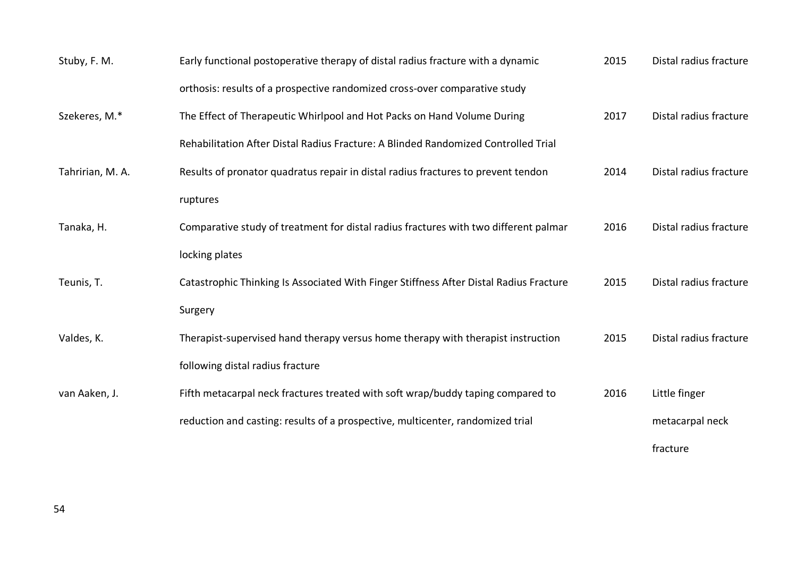| Stuby, F. M.     | Early functional postoperative therapy of distal radius fracture with a dynamic        | 2015 | Distal radius fracture |
|------------------|----------------------------------------------------------------------------------------|------|------------------------|
|                  | orthosis: results of a prospective randomized cross-over comparative study             |      |                        |
| Szekeres, M.*    | The Effect of Therapeutic Whirlpool and Hot Packs on Hand Volume During                | 2017 | Distal radius fracture |
|                  | Rehabilitation After Distal Radius Fracture: A Blinded Randomized Controlled Trial     |      |                        |
| Tahririan, M. A. | Results of pronator quadratus repair in distal radius fractures to prevent tendon      | 2014 | Distal radius fracture |
|                  | ruptures                                                                               |      |                        |
| Tanaka, H.       | Comparative study of treatment for distal radius fractures with two different palmar   | 2016 | Distal radius fracture |
|                  | locking plates                                                                         |      |                        |
| Teunis, T.       | Catastrophic Thinking Is Associated With Finger Stiffness After Distal Radius Fracture | 2015 | Distal radius fracture |
|                  | Surgery                                                                                |      |                        |
| Valdes, K.       | Therapist-supervised hand therapy versus home therapy with therapist instruction       | 2015 | Distal radius fracture |
|                  | following distal radius fracture                                                       |      |                        |
| van Aaken, J.    | Fifth metacarpal neck fractures treated with soft wrap/buddy taping compared to        | 2016 | Little finger          |
|                  | reduction and casting: results of a prospective, multicenter, randomized trial         |      | metacarpal neck        |
|                  |                                                                                        |      | fracture               |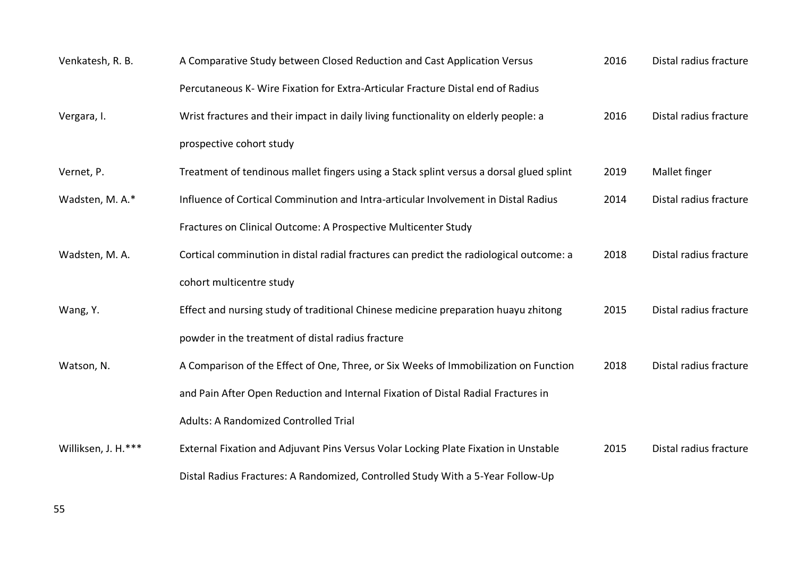| Venkatesh, R. B.    | A Comparative Study between Closed Reduction and Cast Application Versus                | 2016 | Distal radius fracture |
|---------------------|-----------------------------------------------------------------------------------------|------|------------------------|
|                     | Percutaneous K- Wire Fixation for Extra-Articular Fracture Distal end of Radius         |      |                        |
| Vergara, I.         | Wrist fractures and their impact in daily living functionality on elderly people: a     | 2016 | Distal radius fracture |
|                     | prospective cohort study                                                                |      |                        |
| Vernet, P.          | Treatment of tendinous mallet fingers using a Stack splint versus a dorsal glued splint | 2019 | Mallet finger          |
| Wadsten, M. A.*     | Influence of Cortical Comminution and Intra-articular Involvement in Distal Radius      | 2014 | Distal radius fracture |
|                     | Fractures on Clinical Outcome: A Prospective Multicenter Study                          |      |                        |
| Wadsten, M. A.      | Cortical comminution in distal radial fractures can predict the radiological outcome: a | 2018 | Distal radius fracture |
|                     | cohort multicentre study                                                                |      |                        |
| Wang, Y.            | Effect and nursing study of traditional Chinese medicine preparation huayu zhitong      | 2015 | Distal radius fracture |
|                     | powder in the treatment of distal radius fracture                                       |      |                        |
| Watson, N.          | A Comparison of the Effect of One, Three, or Six Weeks of Immobilization on Function    | 2018 | Distal radius fracture |
|                     | and Pain After Open Reduction and Internal Fixation of Distal Radial Fractures in       |      |                        |
|                     | <b>Adults: A Randomized Controlled Trial</b>                                            |      |                        |
| Williksen, J. H.*** | External Fixation and Adjuvant Pins Versus Volar Locking Plate Fixation in Unstable     | 2015 | Distal radius fracture |
|                     | Distal Radius Fractures: A Randomized, Controlled Study With a 5-Year Follow-Up         |      |                        |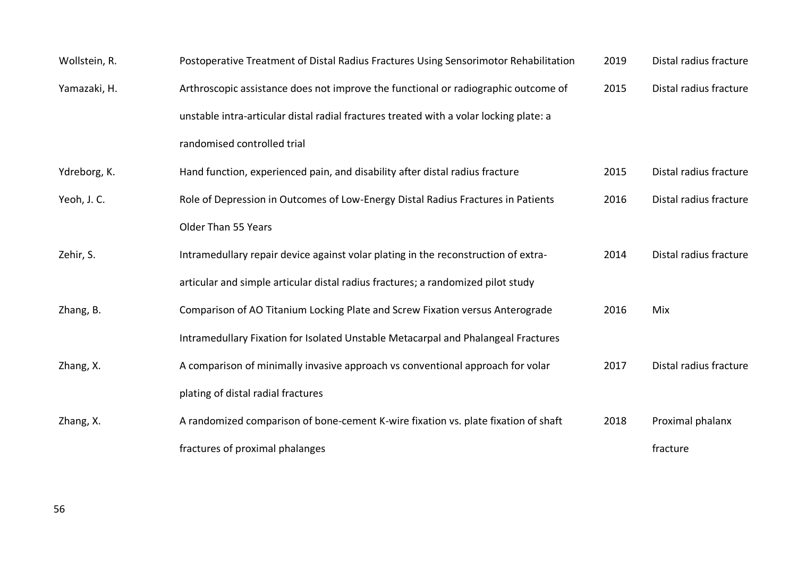| Wollstein, R. | Postoperative Treatment of Distal Radius Fractures Using Sensorimotor Rehabilitation   | 2019 | Distal radius fracture |
|---------------|----------------------------------------------------------------------------------------|------|------------------------|
| Yamazaki, H.  | Arthroscopic assistance does not improve the functional or radiographic outcome of     | 2015 | Distal radius fracture |
|               | unstable intra-articular distal radial fractures treated with a volar locking plate: a |      |                        |
|               | randomised controlled trial                                                            |      |                        |
| Ydreborg, K.  | Hand function, experienced pain, and disability after distal radius fracture           | 2015 | Distal radius fracture |
| Yeoh, J. C.   | Role of Depression in Outcomes of Low-Energy Distal Radius Fractures in Patients       | 2016 | Distal radius fracture |
|               | Older Than 55 Years                                                                    |      |                        |
| Zehir, S.     | Intramedullary repair device against volar plating in the reconstruction of extra-     | 2014 | Distal radius fracture |
|               | articular and simple articular distal radius fractures; a randomized pilot study       |      |                        |
| Zhang, B.     | Comparison of AO Titanium Locking Plate and Screw Fixation versus Anterograde          | 2016 | Mix                    |
|               | Intramedullary Fixation for Isolated Unstable Metacarpal and Phalangeal Fractures      |      |                        |
| Zhang, X.     | A comparison of minimally invasive approach vs conventional approach for volar         | 2017 | Distal radius fracture |
|               | plating of distal radial fractures                                                     |      |                        |
| Zhang, X.     | A randomized comparison of bone-cement K-wire fixation vs. plate fixation of shaft     | 2018 | Proximal phalanx       |
|               | fractures of proximal phalanges                                                        |      | fracture               |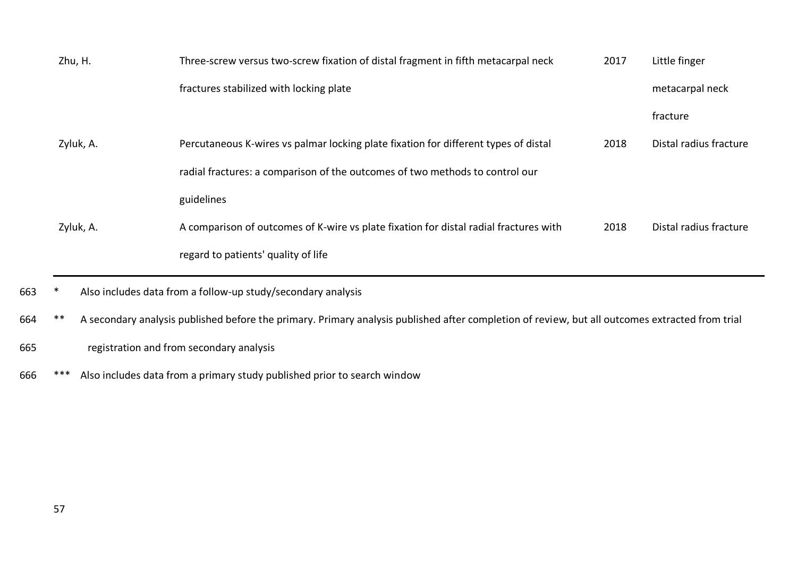| Zhu, H.   | Three-screw versus two-screw fixation of distal fragment in fifth metacarpal neck     | 2017 | Little finger          |
|-----------|---------------------------------------------------------------------------------------|------|------------------------|
|           | fractures stabilized with locking plate                                               |      | metacarpal neck        |
|           |                                                                                       |      | fracture               |
| Zyluk, A. | Percutaneous K-wires vs palmar locking plate fixation for different types of distal   | 2018 | Distal radius fracture |
|           | radial fractures: a comparison of the outcomes of two methods to control our          |      |                        |
|           | guidelines                                                                            |      |                        |
| Zyluk, A. | A comparison of outcomes of K-wire vs plate fixation for distal radial fractures with | 2018 | Distal radius fracture |
|           | regard to patients' quality of life                                                   |      |                        |

664 \*\* A secondary analysis published before the primary. Primary analysis published after completion of review, but all outcomes extracted from trial

665 registration and from secondary analysis

666 \*\*\* Also includes data from a primary study published prior to search window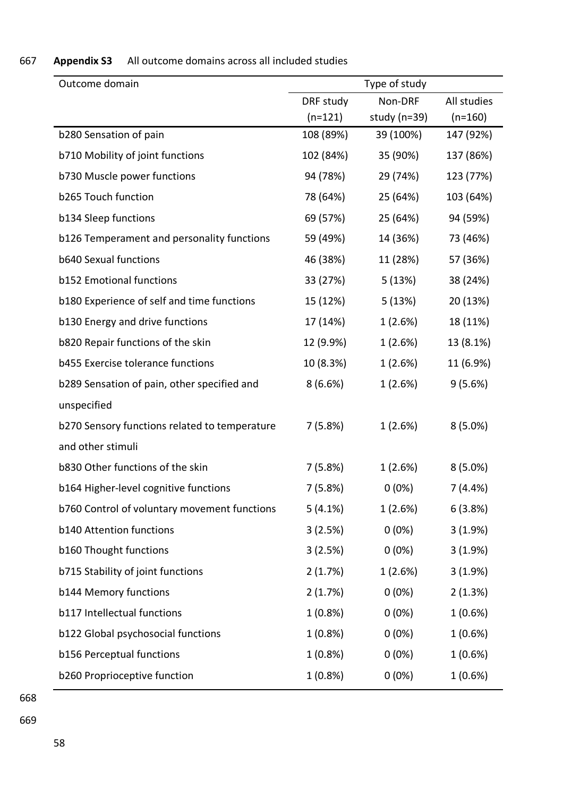| Outcome domain                                | Type of study |                  |             |
|-----------------------------------------------|---------------|------------------|-------------|
|                                               | DRF study     | Non-DRF          | All studies |
|                                               | $(n=121)$     | study ( $n=39$ ) | $(n=160)$   |
| b280 Sensation of pain                        | 108 (89%)     | 39 (100%)        | 147 (92%)   |
| b710 Mobility of joint functions              | 102 (84%)     | 35 (90%)         | 137 (86%)   |
| b730 Muscle power functions                   | 94 (78%)      | 29 (74%)         | 123 (77%)   |
| b265 Touch function                           | 78 (64%)      | 25 (64%)         | 103 (64%)   |
| b134 Sleep functions                          | 69 (57%)      | 25 (64%)         | 94 (59%)    |
| b126 Temperament and personality functions    | 59 (49%)      | 14 (36%)         | 73 (46%)    |
| <b>b640 Sexual functions</b>                  | 46 (38%)      | 11 (28%)         | 57 (36%)    |
| <b>b152 Emotional functions</b>               | 33 (27%)      | 5 (13%)          | 38 (24%)    |
| b180 Experience of self and time functions    | 15 (12%)      | 5(13%)           | 20 (13%)    |
| b130 Energy and drive functions               | 17 (14%)      | 1(2.6%)          | 18 (11%)    |
| b820 Repair functions of the skin             | 12 (9.9%)     | 1(2.6%)          | 13 (8.1%)   |
| b455 Exercise tolerance functions             | 10 (8.3%)     | 1(2.6%)          | 11 (6.9%)   |
| b289 Sensation of pain, other specified and   | 8(6.6%)       | 1(2.6%)          | 9(5.6%)     |
| unspecified                                   |               |                  |             |
| b270 Sensory functions related to temperature | 7(5.8%)       | 1(2.6%)          | $8(5.0\%)$  |
| and other stimuli                             |               |                  |             |
| b830 Other functions of the skin              | 7(5.8%)       | 1(2.6%)          | $8(5.0\%)$  |
| b164 Higher-level cognitive functions         | 7(5.8%)       | $0(0\%)$         | 7(4.4%)     |
| b760 Control of voluntary movement functions  | $5(4.1\%)$    | 1(2.6%)          | 6(3.8%)     |
| <b>b140 Attention functions</b>               | 3(2.5%)       | $0(0\%)$         | 3(1.9%)     |
| b160 Thought functions                        | 3(2.5%)       | $0(0\%)$         | 3(1.9%)     |
| b715 Stability of joint functions             | 2(1.7%)       | 1(2.6%)          | 3(1.9%)     |
| b144 Memory functions                         | 2(1.7%)       | $0(0\%)$         | 2(1.3%)     |
| b117 Intellectual functions                   | $1(0.8\%)$    | $0(0\%)$         | $1(0.6\%)$  |
| b122 Global psychosocial functions            | $1(0.8\%)$    | $0(0\%)$         | $1(0.6\%)$  |
| b156 Perceptual functions                     | $1(0.8\%)$    | $0(0\%)$         | $1(0.6\%)$  |
| b260 Proprioceptive function                  | $1(0.8\%)$    | $0(0\%)$         | $1(0.6\%)$  |

## 667 **Appendix S3** All outcome domains across all included studies

668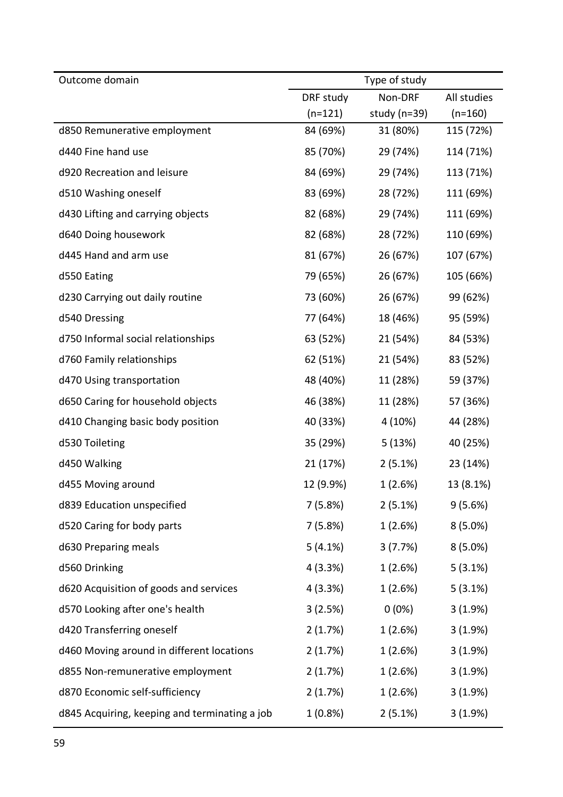| Outcome domain                                | Type of study |              |             |
|-----------------------------------------------|---------------|--------------|-------------|
|                                               | DRF study     | Non-DRF      | All studies |
|                                               | $(n=121)$     | study (n=39) | $(n=160)$   |
| d850 Remunerative employment                  | 84 (69%)      | 31 (80%)     | 115 (72%)   |
| d440 Fine hand use                            | 85 (70%)      | 29 (74%)     | 114 (71%)   |
| d920 Recreation and leisure                   | 84 (69%)      | 29 (74%)     | 113 (71%)   |
| d510 Washing oneself                          | 83 (69%)      | 28 (72%)     | 111 (69%)   |
| d430 Lifting and carrying objects             | 82 (68%)      | 29 (74%)     | 111 (69%)   |
| d640 Doing housework                          | 82 (68%)      | 28 (72%)     | 110 (69%)   |
| d445 Hand and arm use                         | 81 (67%)      | 26 (67%)     | 107 (67%)   |
| d550 Eating                                   | 79 (65%)      | 26 (67%)     | 105 (66%)   |
| d230 Carrying out daily routine               | 73 (60%)      | 26 (67%)     | 99 (62%)    |
| d540 Dressing                                 | 77 (64%)      | 18 (46%)     | 95 (59%)    |
| d750 Informal social relationships            | 63 (52%)      | 21 (54%)     | 84 (53%)    |
| d760 Family relationships                     | 62 (51%)      | 21 (54%)     | 83 (52%)    |
| d470 Using transportation                     | 48 (40%)      | 11 (28%)     | 59 (37%)    |
| d650 Caring for household objects             | 46 (38%)      | 11 (28%)     | 57 (36%)    |
| d410 Changing basic body position             | 40 (33%)      | 4 (10%)      | 44 (28%)    |
| d530 Toileting                                | 35 (29%)      | 5(13%)       | 40 (25%)    |
| d450 Walking                                  | 21 (17%)      | 2(5.1%)      | 23 (14%)    |
| d455 Moving around                            | 12 (9.9%)     | 1(2.6%)      | 13 (8.1%)   |
| d839 Education unspecified                    | 7(5.8%)       | $2(5.1\%)$   | 9(5.6%)     |
| d520 Caring for body parts                    | 7 (5.8%)      | 1(2.6%)      | $8(5.0\%)$  |
| d630 Preparing meals                          | $5(4.1\%)$    | 3(7.7%)      | $8(5.0\%)$  |
| d560 Drinking                                 | 4(3.3%)       | 1(2.6%)      | $5(3.1\%)$  |
| d620 Acquisition of goods and services        | 4(3.3%)       | 1(2.6%)      | $5(3.1\%)$  |
| d570 Looking after one's health               | 3(2.5%)       | $0(0\%)$     | 3(1.9%)     |
| d420 Transferring oneself                     | 2(1.7%)       | 1(2.6%)      | 3(1.9%)     |
| d460 Moving around in different locations     | 2(1.7%)       | 1(2.6%)      | 3(1.9%)     |
| d855 Non-remunerative employment              | 2(1.7%)       | 1(2.6%)      | 3(1.9%)     |
| d870 Economic self-sufficiency                | 2(1.7%)       | 1(2.6%)      | 3(1.9%)     |
| d845 Acquiring, keeping and terminating a job | $1(0.8\%)$    | 2(5.1%)      | 3(1.9%)     |